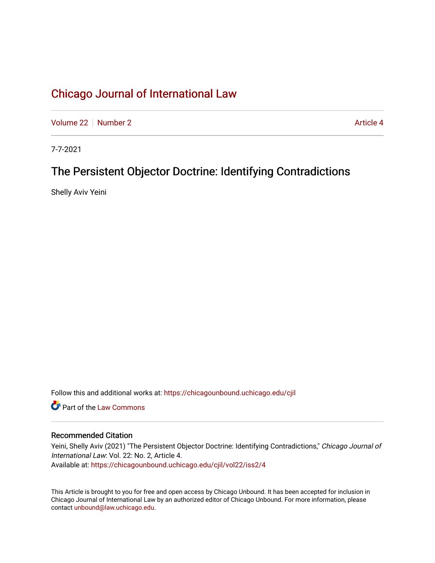[Volume 22](https://chicagounbound.uchicago.edu/cjil/vol22) [Number 2](https://chicagounbound.uchicago.edu/cjil/vol22/iss2) Article 4

7-7-2021

## The Persistent Objector Doctrine: Identifying Contradictions

Shelly Aviv Yeini

Follow this and additional works at: [https://chicagounbound.uchicago.edu/cjil](https://chicagounbound.uchicago.edu/cjil?utm_source=chicagounbound.uchicago.edu%2Fcjil%2Fvol22%2Fiss2%2F4&utm_medium=PDF&utm_campaign=PDFCoverPages)

**C** Part of the [Law Commons](https://network.bepress.com/hgg/discipline/578?utm_source=chicagounbound.uchicago.edu%2Fcjil%2Fvol22%2Fiss2%2F4&utm_medium=PDF&utm_campaign=PDFCoverPages)

## Recommended Citation

Yeini, Shelly Aviv (2021) "The Persistent Objector Doctrine: Identifying Contradictions," Chicago Journal of International Law: Vol. 22: No. 2, Article 4. Available at: [https://chicagounbound.uchicago.edu/cjil/vol22/iss2/4](https://chicagounbound.uchicago.edu/cjil/vol22/iss2/4?utm_source=chicagounbound.uchicago.edu%2Fcjil%2Fvol22%2Fiss2%2F4&utm_medium=PDF&utm_campaign=PDFCoverPages)

This Article is brought to you for free and open access by Chicago Unbound. It has been accepted for inclusion in Chicago Journal of International Law by an authorized editor of Chicago Unbound. For more information, please contact [unbound@law.uchicago.edu](mailto:unbound@law.uchicago.edu).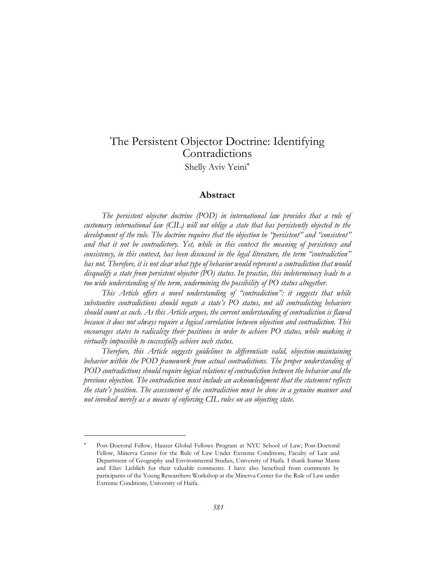## The Persistent Objector Doctrine: Identifying Contradictions

Shelly Aviv Yeini\*

## **Abstract**

The persistent objector doctrine (POD) in international law provides that a rule of *customary international law (CIL) will not oblige a state that has persistently objected to the development of the rule. The doctrine requires that the objection be "persistent" and "consistent" and that it not be contradictory. Yet, while in this context the meaning of persistency and consistency, in this context, has been discussed in the legal literature, the term "contradiction" has not. Therefore, it is not clear what type of behavior would represent a contradiction that would disqualify a state from persistent objector (PO) status. In practice, this indeterminacy leads to a too wide understanding of the term, undermining the possibility of PO status altogether.*

*This Article offers a novel understanding of "contradiction": it suggests that while substantive contradictions should negate a state's PO status, not all contradicting behaviors should count as such. As this Article argues, the current understanding of contradiction is flawed because it does not always require a logical correlation between objection and contradiction. This encourages states to radicalize their positions in order to achieve PO status, while making it virtually impossible to successfully achieve such status.*

*Therefore, this Article suggests guidelines to differentiate valid, objection-maintaining*  behavior within the POD framework from actual contradictions. The proper understanding of *POD contradictions should require logical relations of contradiction between the behavior and the previous objection. The contradiction must include an acknowledgment that the statement reflects the state's position. The assessment of the contradiction must be done in a genuine manner and not invoked merely as a means of enforcing CIL rules on an objecting state.* 

Post-Doctoral Fellow, Hauser Global Fellows Program at NYU School of Law; Post-Doctoral Fellow, Minerva Center for the Rule of Law Under Extreme Conditions, Faculty of Law and Department of Geography and Environmental Studies, University of Haifa. I thank Itamar Mann and Eliav Lieblich for their valuable comments. I have also benefited from comments by participants of the Young Researchers Workshop at the Minerva Center for the Rule of Law under Extreme Conditions, University of Haifa.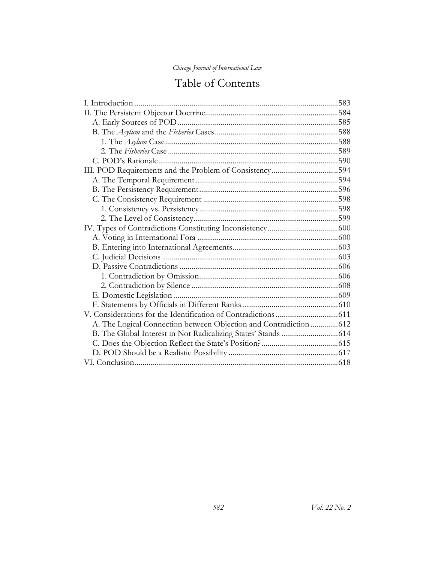|  | Chicago Journal of International Law |
|--|--------------------------------------|
|--|--------------------------------------|

# Table of Contents

| III. POD Requirements and the Problem of Consistency594            |  |
|--------------------------------------------------------------------|--|
|                                                                    |  |
|                                                                    |  |
|                                                                    |  |
|                                                                    |  |
|                                                                    |  |
|                                                                    |  |
|                                                                    |  |
|                                                                    |  |
|                                                                    |  |
|                                                                    |  |
|                                                                    |  |
|                                                                    |  |
|                                                                    |  |
|                                                                    |  |
|                                                                    |  |
| A. The Logical Connection between Objection and Contradiction  612 |  |
|                                                                    |  |
|                                                                    |  |
|                                                                    |  |
|                                                                    |  |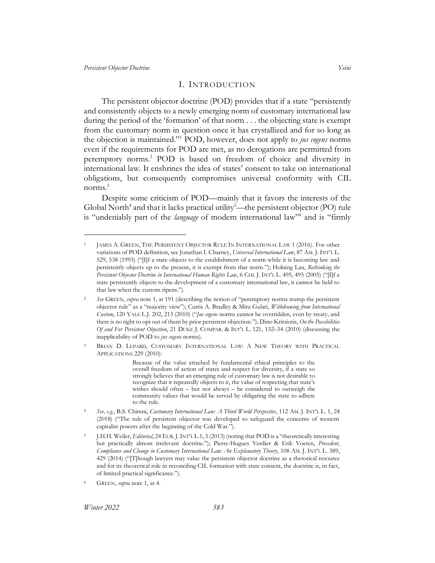#### <span id="page-3-6"></span><span id="page-3-2"></span><span id="page-3-1"></span>I. INTRODUCTION

<span id="page-3-0"></span>The persistent objector doctrine (POD) provides that if a state "persistently and consistently objects to a newly emerging norm of customary international law during the period of the 'formation' of that norm . . . the objecting state is exempt from the customary norm in question once it has crystallized and for so long as the objection is maintained."<sup>1</sup> POD, however, does not apply to *jus cogens* norms even if the requirements for POD are met, as no derogations are permitted from peremptory norms.<sup>2</sup> POD is based on freedom of choice and diversity in international law. It enshrines the idea of states' consent to take on international obligations, but consequently compromises universal conformity with CIL norms. 3

<span id="page-3-5"></span><span id="page-3-4"></span><span id="page-3-3"></span>Despite some criticism of POD—mainly that it favors the interests of the Global North<sup>4</sup> and that it lacks practical utility<sup>5</sup>—the persistent objector (PO) rule is "undeniably part of the *language* of modern international law"<sup>6</sup> and is "firmly

Because of the value attached by fundamental ethical principles to the overall freedom of action of states and respect for diversity, if a state so strongly believes that an emerging rule of customary law is not desirable to recognize that it repeatedly objects to it, the value of respecting that state's wishes should often – but not always – be considered to outweigh the community values that would be served by obligating the state to adhere to the rule.

JAMES A. GREEN, THE PERSISTENT OBJECTOR RULE IN INTERNATIONAL LAW 1 (2016). For other variations of POD definition, see Jonathan I. Charney, *Universal International Law*, 87 AM. J. INT'L L. 529, 538 (1993) ("[I]f a state objects to the establishment of a norm while it is becoming law and persistently objects up to the present, it is exempt from that norm."); Holning Lau, *Rethinking the Persistent Objector Doctrine in International Human Rights Law*, 6 CHI. J. INT'L L. 495, 495 (2005) ("[I]f a state persistently objects to the development of a customary international law, it cannot be held to that law when the custom ripens.").

<sup>2</sup> *See* GREEN, *supra* note [1,](#page-3-1) at 191 (describing the notion of "peremptory norms trump the persistent objector rule" as a "majority view"); Curtis A. Bradley & Mitu Gulati, *Withdrawing from International Custom*, 120 YALE L.J. 202, 213 (2010) ("*Jus cogens* norms cannot be overridden, even by treaty, and there is no right to opt out of them by prior persistent objection."); Dino Kritsiotis, *On the Possibilities Of and For Persistent Objection*, 21 DUKE J. COMPAR. & INT'L L. 121, 132–34 (2010) (discussing the inapplicability of POD to *jus cogens* norms).

<sup>3</sup> BRIAN D. LEPARD, CUSTOMARY INTERNATIONAL LAW: A NEW THEORY WITH PRACTICAL APPLICATIONS 229 (2010):

<sup>4</sup> *See, e.g.*, B.S. Chimni, *Customary International Law: A Third World Perspective*, 112 AM. J. INT'L L. 1, 24 (2018) ("The rule of persistent objector was developed to safeguard the concerns of western capitalist powers after the beginning of the Cold War.").

<sup>5</sup> J.H.H. Weiler, *Editorial*, 24 EUR.J.INT'L L.1, 3 (2013) (noting that POD is a "theoretically interesting but practically almost irrelevant doctrine."); Pierre-Hugues Verdier & Erik Voeten, *Precedent, Compliance and Change in Customary International Law: An Explanatory Theory*, 108 AM. J. INT'L L. 389, 429 (2014) ("[T]hough lawyers may value the persistent objector doctrine as a rhetorical resource and for its theoretical role in reconciling CIL formation with state consent, the doctrine is, in fact, of limited practical significance.").

<sup>6</sup> GREEN, *supra* note [1,](#page-3-2) at 4.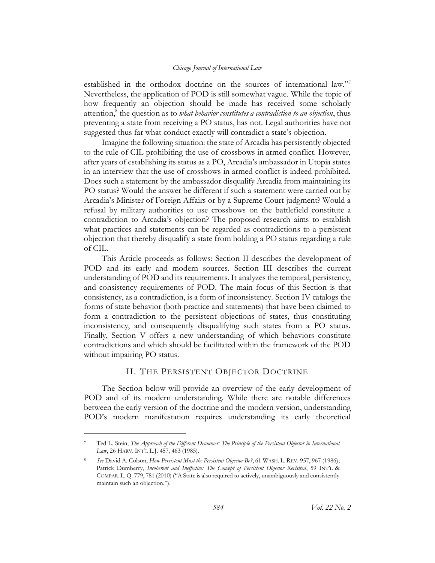<span id="page-4-2"></span><span id="page-4-1"></span>established in the orthodox doctrine on the sources of international law."<sup>7</sup> Nevertheless, the application of POD is still somewhat vague. While the topic of how frequently an objection should be made has received some scholarly attention,<sup>8</sup> the question as to *what behavior constitutes a contradiction to an objection*, thus preventing a state from receiving a PO status, has not. Legal authorities have not suggested thus far what conduct exactly will contradict a state's objection.

Imagine the following situation: the state of Arcadia has persistently objected to the rule of CIL prohibiting the use of crossbows in armed conflict. However, after years of establishing its status as a PO, Arcadia's ambassador in Utopia states in an interview that the use of crossbows in armed conflict is indeed prohibited. Does such a statement by the ambassador disqualify Arcadia from maintaining its PO status? Would the answer be different if such a statement were carried out by Arcadia's Minister of Foreign Affairs or by a Supreme Court judgment? Would a refusal by military authorities to use crossbows on the battlefield constitute a contradiction to Arcadia's objection? The proposed research aims to establish what practices and statements can be regarded as contradictions to a persistent objection that thereby disqualify a state from holding a PO status regarding a rule of CIL.

This Article proceeds as follows: Section II describes the development of POD and its early and modern sources. Section III describes the current understanding of POD and its requirements. It analyzes the temporal, persistency, and consistency requirements of POD. The main focus of this Section is that consistency, as a contradiction, is a form of inconsistency. Section IV catalogs the forms of state behavior (both practice and statements) that have been claimed to form a contradiction to the persistent objections of states, thus constituting inconsistency, and consequently disqualifying such states from a PO status. Finally, Section V offers a new understanding of which behaviors constitute contradictions and which should be facilitated within the framework of the POD without impairing PO status.

## II. THE PERSISTENT OBJECTOR DOCTRINE

<span id="page-4-0"></span>The Section below will provide an overview of the early development of POD and of its modern understanding. While there are notable differences between the early version of the doctrine and the modern version, understanding POD's modern manifestation requires understanding its early theoretical

<sup>7</sup> Ted L. Stein, *The Approach of the Different Drummer: The Principle of the Persistent Objector in International Law*, 26 HARV. INT'L L.J. 457, 463 (1985).

<sup>8</sup> *See* David A. Colson, *How Persistent Must the Persistent Objector Be?*, 61 WASH. L. REV. 957, 967 (1986); Patrick Dumberry, *Incoherent and Ineffective: The Concept of Persistent Objector Revisited*, 59 INT'L & COMPAR.L.Q. 779, 781 (2010) ("A State is also required to actively, unambiguously and consistently maintain such an objection.").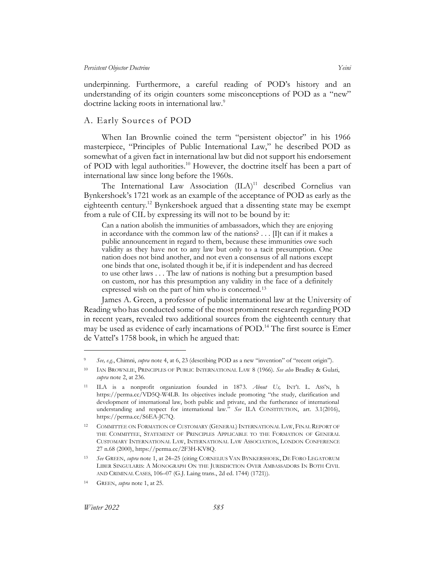underpinning. Furthermore, a careful reading of POD's history and an understanding of its origin counters some misconceptions of POD as a "new" doctrine lacking roots in international law.<sup>9</sup>

## <span id="page-5-0"></span>A. Early Sources of POD

When Ian Brownlie coined the term "persistent objector" in his 1966 masterpiece, "Principles of Public International Law," he described POD as somewhat of a given fact in international law but did not support his endorsement of POD with legal authorities.<sup>10</sup> However, the doctrine itself has been a part of international law since long before the 1960s.

The International Law Association (ILA)<sup>11</sup> described Cornelius van Bynkershoek's 1721 work as an example of the acceptance of POD as early as the eighteenth century.<sup>12</sup> Bynkershoek argued that a dissenting state may be exempt from a rule of CIL by expressing its will not to be bound by it:

Can a nation abolish the immunities of ambassadors, which they are enjoying in accordance with the common law of the nations? . . . [I]t can if it makes a public announcement in regard to them, because these immunities owe such validity as they have not to any law but only to a tacit presumption. One nation does not bind another, and not even a consensus of all nations except one binds that one, isolated though it be, if it is independent and has decreed to use other laws . . . The law of nations is nothing but a presumption based on custom, nor has this presumption any validity in the face of a definitely expressed wish on the part of him who is concerned.<sup>13</sup>

James A. Green, a professor of public international law at the University of Reading who has conducted some of the most prominent research regarding POD in recent years, revealed two additional sources from the eighteenth century that may be used as evidence of early incarnations of POD.<sup>14</sup> The first source is Emer de Vattel's 1758 book, in which he argued that:

<sup>9</sup> *See, e.g.*, Chimni, *supra* not[e 4,](#page-3-3) at 6, 23 (describing POD as a new "invention" of "recent origin").

<sup>10</sup> IAN BROWNLIE, PRINCIPLES OF PUBLIC INTERNATIONAL LAW 8 (1966). *See also* Bradley & Gulati, *supra* not[e 2,](#page-3-4) at 236.

<sup>11</sup> ILA is a nonprofit organization founded in 1873. *About Us,* INT'L L. ASS'N, h https://perma.cc/VD5Q-W4LB. Its objectives include promoting "the study, clarification and development of international law, both public and private, and the furtherance of international understanding and respect for international law." *See* ILA CONSTITUTION, art. 3.1(2016), https://perma.cc/S6EA-JC7Q.

<sup>12</sup> COMMITTEE ON FORMATION OF CUSTOMARY (GENERAL) INTERNATIONAL LAW, FINAL REPORT OF THE COMMITTEE, STATEMENT OF PRINCIPLES APPLICABLE TO THE FORMATION OF GENERAL CUSTOMARY INTERNATIONAL LAW, INTERNATIONAL LAW ASSOCIATION, LONDON CONFERENCE 27 n.68 (2000), https://perma.cc/2F3H-KV8Q.

<sup>13</sup> *See* GREEN, *supra* note [1,](#page-3-2) at 24–25 (citing CORNELIUS VAN BYNKERSHOEK, DE FORO LEGATORUM LIBER SINGULARIS: A MONOGRAPH ON THE JURISDICTION OVER AMBASSADORS IN BOTH CIVIL AND CRIMINAL CASES, 106–07 (G.J. Laing trans., 2d ed. 1744) (1721)).

<sup>14</sup> GREEN, *supra* note [1,](#page-3-2) at 25.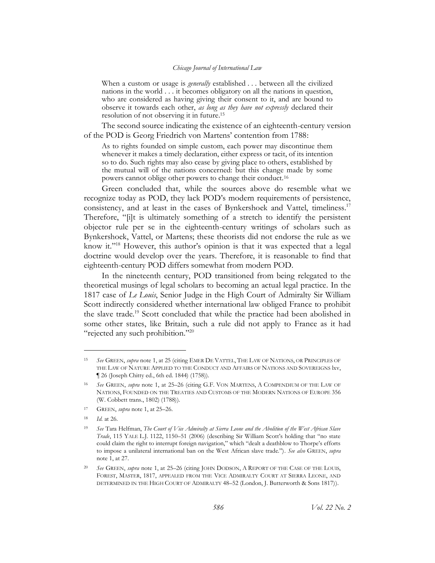When a custom or usage is *generally* established . . . between all the civilized nations in the world . . . it becomes obligatory on all the nations in question, who are considered as having giving their consent to it, and are bound to observe it towards each other, *as long as they have not expressly* declared their resolution of not observing it in future. 15

The second source indicating the existence of an eighteenth-century version of the POD is Georg Friedrich von Martens' contention from 1788:

As to rights founded on simple custom, each power may discontinue them whenever it makes a timely declaration, either express or tacit, of its intention so to do. Such rights may also cease by giving place to others, established by the mutual will of the nations concerned: but this change made by some powers cannot oblige other powers to change their conduct.<sup>16</sup>

Green concluded that, while the sources above do resemble what we recognize today as POD, they lack POD's modern requirements of persistence, consistency, and at least in the cases of Bynkershoek and Vattel, timeliness. 17 Therefore, "[i]t is ultimately something of a stretch to identify the persistent objector rule per se in the eighteenth-century writings of scholars such as Bynkershoek, Vattel, or Martens; these theorists did not endorse the rule as we know it."<sup>18</sup> However, this author's opinion is that it was expected that a legal doctrine would develop over the years. Therefore, it is reasonable to find that eighteenth-century POD differs somewhat from modern POD.

In the nineteenth century, POD transitioned from being relegated to the theoretical musings of legal scholars to becoming an actual legal practice. In the 1817 case of *Le Louis*, Senior Judge in the High Court of Admiralty Sir William Scott indirectly considered whether international law obliged France to prohibit the slave trade.<sup>19</sup> Scott concluded that while the practice had been abolished in some other states, like Britain, such a rule did not apply to France as it had "rejected any such prohibition."<sup>20</sup>

<sup>15</sup> *See* GREEN, *supra* note [1,](#page-3-2) at 25 (citing EMER DE VATTEL, THE LAW OF NATIONS, OR PRINCIPLES OF THE LAW OF NATURE APPLIED TO THE CONDUCT AND AFFAIRS OF NATIONS AND SOVEREIGNS lxv, ¶ 26 (Joseph Chitty ed., 6th ed. 1844) (1758)).

<sup>16</sup> *See* GREEN, *supra* note [1,](#page-3-2) at 25–26 (citing G.F. VON MARTENS, A COMPENDIUM OF THE LAW OF NATIONS, FOUNDED ON THE TREATIES AND CUSTOMS OF THE MODERN NATIONS OF EUROPE 356 (W. Cobbett trans., 1802) (1788)).

<sup>17</sup> GREEN, *supra* note [1,](#page-3-2) at 25–26.

<sup>18</sup> *Id.* at 26.

<sup>19</sup> *See* Tara Helfman, *The Court of Vice Admiralty at Sierra Leone and the Abolition of the West African Slave Trade*, 115 YALE L.J. 1122, 1150–51 (2006) (describing Sir William Scott's holding that "no state could claim the right to interrupt foreign navigation," which "dealt a deathblow to Thorpe's efforts to impose a unilateral international ban on the West African slave trade."). *See also* GREEN, *supra* note [1,](#page-3-1) at 27.

<sup>20</sup> *See* GREEN, *supra* note [1,](#page-3-2) at 25–26 (citing JOHN DODSON, A REPORT OF THE CASE OF THE LOUIS, FOREST, MASTER, 1817, APPEALED FROM THE VICE ADMIRALTY COURT AT SIERRA LEONE, AND DETERMINED IN THE HIGH COURT OF ADMIRALTY 48–52 (London, J. Butterworth & Sons 1817)).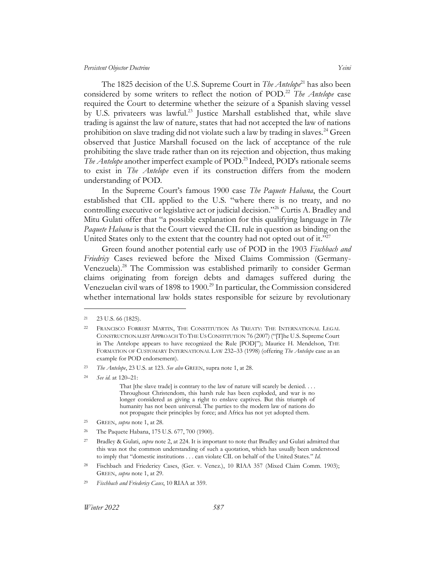The 1825 decision of the U.S. Supreme Court in *The Antelope*<sup>21</sup> has also been considered by some writers to reflect the notion of POD.<sup>22</sup> *The Antelope* case required the Court to determine whether the seizure of a Spanish slaving vessel by U.S. privateers was lawful.<sup>23</sup> Justice Marshall established that, while slave trading is against the law of nature, states that had not accepted the law of nations prohibition on slave trading did not violate such a law by trading in slaves.<sup>24</sup> Green observed that Justice Marshall focused on the lack of acceptance of the rule prohibiting the slave trade rather than on its rejection and objection, thus making *The Antelope* another imperfect example of POD. <sup>25</sup> Indeed, POD's rationale seems to exist in *The Antelope* even if its construction differs from the modern understanding of POD.

In the Supreme Court's famous 1900 case *The Paquete Habana*, the Court established that CIL applied to the U.S. "where there is no treaty, and no controlling executive or legislative act or judicial decision."<sup>26</sup> Curtis A. Bradley and Mitu Gulati offer that "a possible explanation for this qualifying language in *The Paquete Habana* is that the Court viewed the CIL rule in question as binding on the United States only to the extent that the country had not opted out of it."<sup>27</sup>

Green found another potential early use of POD in the 1903 *Fischbach and Friedricy* Cases reviewed before the Mixed Claims Commission (Germany-Venezuela).<sup>28</sup> The Commission was established primarily to consider German claims originating from foreign debts and damages suffered during the Venezuelan civil wars of 1898 to 1900.<sup>29</sup> In particular, the Commission considered whether international law holds states responsible for seizure by revolutionary

<sup>21</sup> 23 U.S. 66 (1825).

<sup>22</sup> FRANCISCO FORREST MARTIN, THE CONSTITUTION AS TREATY: THE INTERNATIONAL LEGAL CONSTRUCTIONALIST APPROACH TO THE US CONSTITUTION 76 (2007) ("[T]he U.S. Supreme Court in The Antelope appears to have recognized the Rule [POD]"); Maurice H. Mendelson, THE FORMATION OF CUSTOMARY INTERNATIONAL LAW 232–33 (1998) (offering *The Antelope* case as an example for POD endorsement).

<sup>23</sup> *The Antelope*, 23 U.S. at 123. *See also* GREEN, supra note 1, at 28.

<sup>24</sup> *See id.* at 120–21:

That [the slave trade] is contrary to the law of nature will scarely be denied. . . . Throughout Christendom, this harsh rule has been exploded, and war is no longer considered as giving a right to enslave captives. But this triumph of humanity has not been universal. The parties to the modern law of nations do not propagate their principles by force; and Africa has not yet adopted them.

<sup>25</sup> GREEN, *supra* note [1,](#page-3-2) at 28.

<sup>26</sup> The Paquete Habana, 175 U.S. 677, 700 (1900).

<sup>27</sup> Bradley & Gulati, *supra* not[e 2,](#page-3-4) at 224. It is important to note that Bradley and Gulati admitted that this was not the common understanding of such a quotation, which has usually been understood to imply that "domestic institutions . . . can violate CIL on behalf of the United States." *Id.*

<sup>28</sup> Fischbach and Friedericy Cases, (Ger. v. Venez.), 10 RIAA 357 (Mixed Claim Comm. 1903); GREEN, *supra* note [1,](#page-3-2) at 29.

<sup>29</sup> *Fischbach and Friedericy Cases*, 10 RIAA at 359.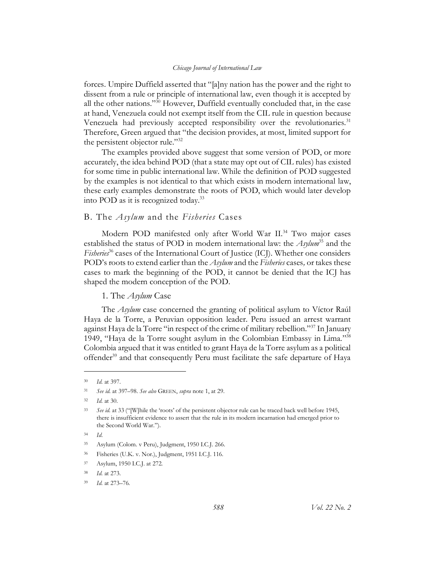forces. Umpire Duffield asserted that "[a]ny nation has the power and the right to dissent from a rule or principle of international law, even though it is accepted by all the other nations."<sup>30</sup> However, Duffield eventually concluded that, in the case at hand, Venezuela could not exempt itself from the CIL rule in question because Venezuela had previously accepted responsibility over the revolutionaries.<sup>31</sup> Therefore, Green argued that "the decision provides, at most, limited support for the persistent objector rule."<sup>32</sup>

The examples provided above suggest that some version of POD, or more accurately, the idea behind POD (that a state may opt out of CIL rules) has existed for some time in public international law. While the definition of POD suggested by the examples is not identical to that which exists in modern international law, these early examples demonstrate the roots of POD, which would later develop into POD as it is recognized today. 33

## <span id="page-8-0"></span>B. The *Asylum* and the *Fisheries* Cases

Modern POD manifested only after World War II.<sup>34</sup> Two major cases established the status of POD in modern international law: the *Asylum*<sup>35</sup> and the *Fisheries*<sup>36</sup> cases of the International Court of Justice (ICJ). Whether one considers POD's roots to extend earlier than the *Asylum* and the *Fisheries* cases*,* or takes these cases to mark the beginning of the POD, it cannot be denied that the ICJ has shaped the modern conception of the POD.

1. The *Asylum* Case

<span id="page-8-1"></span>The *Asylum* case concerned the granting of political asylum to Víctor Raúl Haya de la Torre, a Peruvian opposition leader. Peru issued an arrest warrant against Haya de la Torre "in respect of the crime of military rebellion."<sup>37</sup> In January 1949, "Haya de la Torre sought asylum in the Colombian Embassy in Lima." 38 Colombia argued that it was entitled to grant Haya de la Torre asylum as a political offender<sup>39</sup> and that consequently Peru must facilitate the safe departure of Haya

<sup>30</sup> *Id.* at 397.

<sup>31</sup> *See id.* at 397–98. *See also* GREEN, *supra* not[e 1,](#page-3-2) at 29.

<sup>32</sup> *Id.* at 30.

<sup>33</sup> *See id.* at 33 ("[W]hile the 'roots' of the persistent objector rule can be traced back well before 1945, there is insufficient evidence to assert that the rule in its modern incarnation had emerged prior to the Second World War.").

<sup>34</sup> *Id*.

<sup>35</sup> Asylum (Colom. v Peru), Judgment, 1950 I.C.J. 266.

<sup>36</sup> Fisheries (U.K. v. Nor.), Judgment, 1951 I.C.J. 116.

<sup>37</sup> Asylum, 1950 I.C.J. at 272.

<sup>38</sup> *Id.* at 273.

<sup>39</sup> *Id.* at 273–76.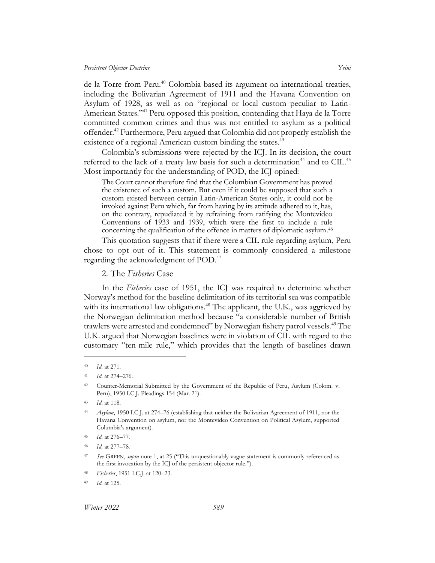de la Torre from Peru.<sup>40</sup> Colombia based its argument on international treaties, including the Bolivarian Agreement of 1911 and the Havana Convention on Asylum of 1928, as well as on "regional or local custom peculiar to Latin-American States."<sup>41</sup> Peru opposed this position, contending that Haya de la Torre committed common crimes and thus was not entitled to asylum as a political offender. <sup>42</sup> Furthermore, Peru argued that Colombia did not properly establish the existence of a regional American custom binding the states.<sup>43</sup>

Colombia's submissions were rejected by the ICJ. In its decision, the court referred to the lack of a treaty law basis for such a determination<sup>44</sup> and to CIL.<sup>45</sup> Most importantly for the understanding of POD, the ICJ opined:

The Court cannot therefore find that the Colombian Government has proved the existence of such a custom. But even if it could be supposed that such a custom existed between certain Latin-American States only, it could not be invoked against Peru which, far from having by its attitude adhered to it, has, on the contrary, repudiated it by refraining from ratifying the Montevideo Conventions of 1933 and 1939, which were the first to include a rule concerning the qualification of the offence in matters of diplomatic asylum. 46

This quotation suggests that if there were a CIL rule regarding asylum, Peru chose to opt out of it. This statement is commonly considered a milestone regarding the acknowledgment of POD. 47

2. The *Fisheries* Case

<span id="page-9-0"></span>In the *Fisheries* case of 1951, the ICJ was required to determine whether Norway's method for the baseline delimitation of its territorial sea was compatible with its international law obligations.<sup>48</sup> The applicant, the U.K., was aggrieved by the Norwegian delimitation method because "a considerable number of British trawlers were arrested and condemned" by Norwegian fishery patrol vessels.<sup>49</sup> The U.K. argued that Norwegian baselines were in violation of CIL with regard to the customary "ten-mile rule," which provides that the length of baselines drawn

<sup>40</sup> *Id*. at 271.

<sup>41</sup> *Id*. at 274–276.

<sup>42</sup> Counter-Memorial Submitted by the Government of the Republic of Peru, Asylum (Colom. v. Peru), 1950 I.C.J. Pleadings 154 (Mar. 21).

<sup>43</sup> *Id*. at 118.

<sup>44</sup> *Asylum*, 1950 I.C.J. at 274–76 (establishing that neither the Bolivarian Agreement of 1911, nor the Havana Convention on asylum, nor the Montevideo Convention on Political Asylum, supported Columbia's argument).

<sup>45</sup> *Id.* at 276–77.

<sup>46</sup> *Id.* at 277–78.

<sup>47</sup> *See* GREEN, *supra* note [1,](#page-3-2) at 25 ("This unquestionably vague statement is commonly referenced as the first invocation by the ICJ of the persistent objector rule.").

<sup>48</sup> *Fisheries*, 1951 I.C.J. at 120–23.

<sup>49</sup> *Id.* at 125.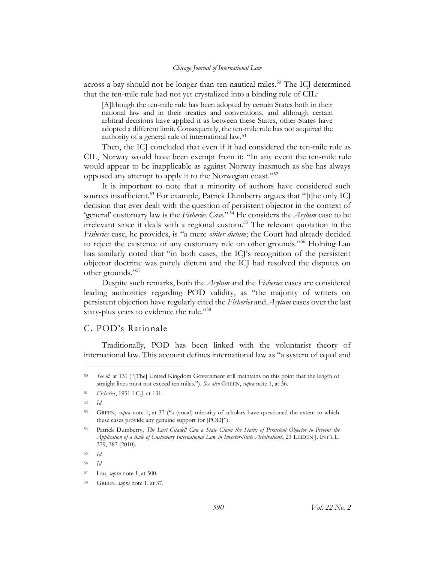across a bay should not be longer than ten nautical miles.<sup>50</sup> The ICJ determined that the ten-mile rule had not yet crystalized into a binding rule of CIL:

[A]lthough the ten-mile rule has been adopted by certain States both in their national law and in their treaties and conventions, and although certain arbitral decisions have applied it as between these States, other States have adopted a different limit. Consequently, the ten-mile rule has not acquired the authority of a general rule of international law.<sup>51</sup>

Then, the ICJ concluded that even if it had considered the ten-mile rule as CIL, Norway would have been exempt from it: "In any event the ten-mile rule would appear to be inapplicable as against Norway inasmuch as she has always opposed any attempt to apply it to the Norwegian coast."<sup>52</sup>

It is important to note that a minority of authors have considered such sources insufficient.<sup>53</sup> For example, Patrick Dumberry argues that "[t]he only IC] decision that ever dealt with the question of persistent objector in the context of 'general' customary law is the *Fisheries Case*." <sup>54</sup> He considers the *Asylum* case to be irrelevant since it deals with a regional custom.<sup>55</sup> The relevant quotation in the *Fisheries* case, he provides, is "a mere *obiter dictum*; the Court had already decided to reject the existence of any customary rule on other grounds."<sup>56</sup> Holning Lau has similarly noted that "in both cases, the ICJ's recognition of the persistent objector doctrine was purely dictum and the ICJ had resolved the disputes on other grounds."<sup>57</sup>

Despite such remarks, both the *Asylum* and the *Fisheries* cases are considered leading authorities regarding POD validity, as "the majority of writers on persistent objection have regularly cited the *Fisheries* and *Asylum* cases over the last sixty-plus years to evidence the rule."<sup>58</sup>

## <span id="page-10-0"></span>C. POD's Rationale

Traditionally, POD has been linked with the voluntarist theory of international law. This account defines international law as "a system of equal and

<sup>50</sup> *See id.* at 131 ("[The] United Kingdom Government still maintains on this point that the length of straight lines must not exceed ten miles."). *See also* GREEN, *supra* not[e 1,](#page-3-1) at 36.

<sup>51</sup> *Fisheries*, 1951 I.C.J. at 131.

<sup>52</sup> *Id.*

<sup>53</sup> GREEN, *supra* note [1,](#page-3-1) at 37 ("a (vocal) minority of scholars have questioned the extent to which these cases provide any genuine support for [POD]").

<sup>54</sup> Patrick Dumberry, *The Last Citadel! Can a State Claim the Status of Persistent Objector to Prevent the Application of a Rule of Customary International Law in Investor-State Arbitration?*, 23 LEIDEN J. INT'L L. 379, 387 (2010).

<sup>55</sup> *Id.*

<sup>56</sup> *Id*.

<sup>57</sup> Lau, *supra* not[e 1,](#page-3-2) at 500.

<sup>58</sup> GREEN, *supra* note [1,](#page-3-2) at 37.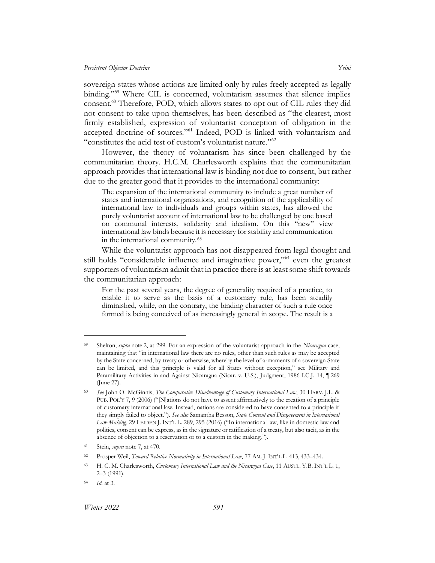sovereign states whose actions are limited only by rules freely accepted as legally binding."<sup>59</sup> Where CIL is concerned, voluntarism assumes that silence implies consent.<sup>60</sup> Therefore, POD, which allows states to opt out of CIL rules they did not consent to take upon themselves, has been described as "the clearest, most firmly established, expression of voluntarist conception of obligation in the accepted doctrine of sources."<sup>61</sup> Indeed, POD is linked with voluntarism and "constitutes the acid test of custom's voluntarist nature."<sup>62</sup>

However, the theory of voluntarism has since been challenged by the communitarian theory. H.C.M. Charlesworth explains that the communitarian approach provides that international law is binding not due to consent, but rather due to the greater good that it provides to the international community:

<span id="page-11-0"></span>The expansion of the international community to include a great number of states and international organisations, and recognition of the applicability of international law to individuals and groups within states, has allowed the purely voluntarist account of international law to be challenged by one based on communal interests, solidarity and idealism. On this "new" view international law binds because it is necessary for stability and communication in the international community.<sup>63</sup>

While the voluntarist approach has not disappeared from legal thought and still holds "considerable influence and imaginative power,"<sup>64</sup> even the greatest supporters of voluntarism admit that in practice there is at least some shift towards the communitarian approach:

For the past several years, the degree of generality required of a practice, to enable it to serve as the basis of a customary rule, has been steadily diminished, while, on the contrary, the binding character of such a rule once formed is being conceived of as increasingly general in scope. The result is a

<sup>59</sup> Shelton, *supra* not[e 2,](#page-3-4) at 299. For an expression of the voluntarist approach in the *Nicaragua* case, maintaining that "in international law there are no rules, other than such rules as may be accepted by the State concerned, by treaty or otherwise, whereby the level of armaments of a sovereign State can be limited, and this principle is valid for all States without exception," see Military and Paramilitary Activities in and Against Nicaragua (Nicar. v. U.S.), Judgment, 1986 I.C.J. 14, ¶ 269 (June 27).

<sup>60</sup> *See* John O. McGinnis, *The Comparative Disadvantage of Customary International Law*, 30 HARV. J.L. & PUB. POL'Y 7, 9 (2006) ("[N]ations do not have to assent affirmatively to the creation of a principle of customary international law. Instead, nations are considered to have consented to a principle if they simply failed to object."). *See also* Samantha Besson, *State Consent and Disagreement in International Law-Making*, 29 LEIDEN J. INT'L L. 289, 295 (2016) ("In international law, like in domestic law and politics, consent can be express, as in the signature or ratification of a treaty, but also tacit, as in the absence of objection to a reservation or to a custom in the making.").

<sup>61</sup> Stein, *supra* not[e 7,](#page-4-1) at 470.

<sup>62</sup> Prosper Weil, *Toward Relative Normativity in International Law*, 77 AM. J. INT'L L. 413, 433–434.

<sup>63</sup> H. C. M. Charlesworth, *Customary International Law and the Nicaragua Case*, 11 AUSTL. Y.B. INT'L L. 1, 2–3 (1991).

<sup>64</sup> *Id.* at 3.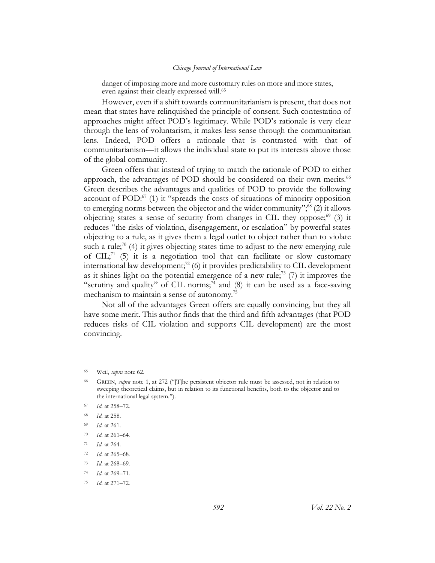danger of imposing more and more customary rules on more and more states, even against their clearly expressed will. 65

However, even if a shift towards communitarianism is present, that does not mean that states have relinquished the principle of consent. Such contestation of approaches might affect POD's legitimacy. While POD's rationale is very clear through the lens of voluntarism, it makes less sense through the communitarian lens. Indeed, POD offers a rationale that is contrasted with that of communitarianism—it allows the individual state to put its interests above those of the global community.

Green offers that instead of trying to match the rationale of POD to either approach, the advantages of POD should be considered on their own merits.<sup>66</sup> Green describes the advantages and qualities of POD to provide the following account of POD: $^{67}$  (1) it "spreads the costs of situations of minority opposition to emerging norms between the objector and the wider community";<sup>68</sup> (2) it allows objecting states a sense of security from changes in CIL they oppose; $69$  (3) it reduces "the risks of violation, disengagement, or escalation" by powerful states objecting to a rule, as it gives them a legal outlet to object rather than to violate such a rule;<sup>70</sup> (4) it gives objecting states time to adjust to the new emerging rule of CIL;<sup>71</sup> (5) it is a negotiation tool that can facilitate or slow customary international law development;<sup>72</sup> (6) it provides predictability to CIL development as it shines light on the potential emergence of a new rule;<sup>73</sup> (7) it improves the "scrutiny and quality" of CIL norms; $74$  and (8) it can be used as a face-saving mechanism to maintain a sense of autonomy.<sup>75</sup>

Not all of the advantages Green offers are equally convincing, but they all have some merit. This author finds that the third and fifth advantages (that POD reduces risks of CIL violation and supports CIL development) are the most convincing.

<sup>65</sup> Weil, *supra* not[e 62.](#page-11-0)

<sup>66</sup> GREEN, *supra* note [1,](#page-3-1) at 272 ("[T]he persistent objector rule must be assessed, not in relation to sweeping theoretical claims, but in relation to its functional benefits, both to the objector and to the international legal system.").

<sup>67</sup> *Id.* at 258–72.

<sup>68</sup> *Id.* at 258.

<sup>69</sup> *Id.* at 261.

<sup>70</sup> *Id.* at 261–64.

<sup>71</sup> *Id.* at 264.

<sup>72</sup> *Id.* at 265–68.

<sup>73</sup> *Id.* at 268–69.

<sup>74</sup> *Id.* at 269–71.

<sup>75</sup> *Id.* at 271–72.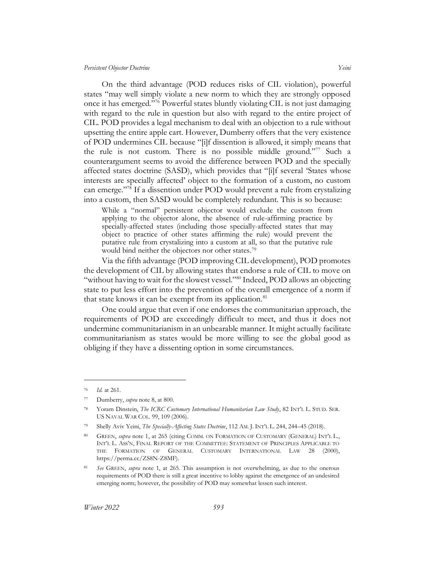On the third advantage (POD reduces risks of CIL violation), powerful states "may well simply violate a new norm to which they are strongly opposed once it has emerged."<sup>76</sup> Powerful states bluntly violating CIL is not just damaging with regard to the rule in question but also with regard to the entire project of CIL. POD provides a legal mechanism to deal with an objection to a rule without upsetting the entire apple cart. However, Dumberry offers that the very existence of POD undermines CIL because "[i]f dissention is allowed, it simply means that the rule is not custom. There is no possible middle ground."<sup>77</sup> Such a counterargument seems to avoid the difference between POD and the specially affected states doctrine (SASD), which provides that "[i]f several 'States whose interests are specially affected' object to the formation of a custom, no custom can emerge."<sup>78</sup> If a dissention under POD would prevent a rule from crystalizing into a custom, then SASD would be completely redundant. This is so because:

While a "normal" persistent objector would exclude the custom from applying to the objector alone, the absence of rule-affirming practice by specially-affected states (including those specially-affected states that may object to practice of other states affirming the rule) would prevent the putative rule from crystalizing into a custom at all, so that the putative rule would bind neither the objectors nor other states. 79

Via the fifth advantage (POD improving CIL development), POD promotes the development of CIL by allowing states that endorse a rule of CIL to move on "without having to wait for the slowest vessel."<sup>80</sup> Indeed, POD allows an objecting state to put less effort into the prevention of the overall emergence of a norm if that state knows it can be exempt from its application.<sup>81</sup>

One could argue that even if one endorses the communitarian approach, the requirements of POD are exceedingly difficult to meet, and thus it does not undermine communitarianism in an unbearable manner. It might actually facilitate communitarianism as states would be more willing to see the global good as obliging if they have a dissenting option in some circumstances.

*Id.* at 261.

<sup>77</sup> Dumberry, *supra* not[e 8,](#page-4-2) at 800.

<sup>78</sup> Yoram Dinstein, *The ICRC Customary International Humanitarian Law Study*, 82 INT'L L. STUD. SER. US NAVAL WAR COL. 99, 109 (2006).

<sup>79</sup> Shelly Aviv Yeini, *The Specially-Affecting States Doctrine*, 112 AM. J. INT'L L. 244, 244–45 (2018).

<sup>80</sup> GREEN, *supra* note [1,](#page-3-1) at 265 (citing COMM. ON FORMATION OF CUSTOMARY (GENERAL) INT'L L., INT'L L. ASS'N, FINAL REPORT OF THE COMMITTEE: STATEMENT OF PRINCIPLES APPLICABLE TO THE FORMATION OF GENERAL CUSTOMARY INTERNATIONAL LAW 28 (2000), https://perma.cc/ZS8N-Z8MF).

<sup>81</sup> *See* GREEN, *supra* note [1,](#page-3-2) at 265. This assumption is not overwhelming, as due to the onerous requirements of POD there is still a great incentive to lobby against the emergence of an undesired emerging norm; however, the possibility of POD may somewhat lessen such interest.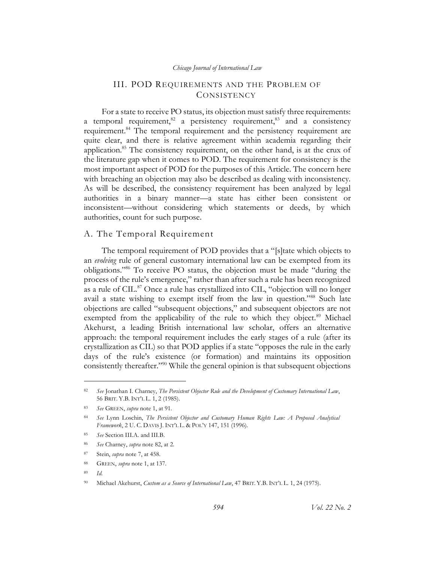## <span id="page-14-2"></span>III. POD REQUIREMENTS AND THE PROBLEM OF **CONSISTENCY**

<span id="page-14-4"></span><span id="page-14-0"></span>For a state to receive PO status, its objection must satisfy three requirements: a temporal requirement,  $82$  a persistency requirement,  $83$  and a consistency requirement.<sup>84</sup> The temporal requirement and the persistency requirement are quite clear, and there is relative agreement within academia regarding their application.<sup>85</sup> The consistency requirement, on the other hand, is at the crux of the literature gap when it comes to POD. The requirement for consistency is the most important aspect of POD for the purposes of this Article. The concern here with breaching an objection may also be described as dealing with inconsistency. As will be described, the consistency requirement has been analyzed by legal authorities in a binary manner—a state has either been consistent or inconsistent—without considering which statements or deeds, by which authorities, count for such purpose.

## <span id="page-14-1"></span>A. The Temporal Requirement

The temporal requirement of POD provides that a "[s]tate which objects to an *evolving* rule of general customary international law can be exempted from its obligations."<sup>86</sup> To receive PO status, the objection must be made "during the process of the rule's emergence," rather than after such a rule has been recognized as a rule of CIL.<sup>87</sup> Once a rule has crystallized into CIL, "objection will no longer avail a state wishing to exempt itself from the law in question."<sup>88</sup> Such late objections are called "subsequent objections," and subsequent objectors are not exempted from the applicability of the rule to which they object.<sup>89</sup> Michael Akehurst, a leading British international law scholar, offers an alternative approach: the temporal requirement includes the early stages of a rule (after its crystallization as CIL) so that POD applies if a state "opposes the rule in the early days of the rule's existence (or formation) and maintains its opposition consistently thereafter."<sup>90</sup> While the general opinion is that subsequent objections

<span id="page-14-3"></span><sup>82</sup> *See* Jonathan I. Charney, *The Persistent Objector Rule and the Development of Customary International Law*, 56 BRIT. Y.B. INT'L L. 1, 2 (1985).

<sup>83</sup> *See* GREEN, *supra* note [1,](#page-3-2) at 91.

<sup>84</sup> *See* Lynn Loschin, *The Persistent Objector and Customary Human Rights Law: A Proposed Analytical Framework*, 2 U. C. DAVIS J. INT'L L. & POL'Y 147, 151 (1996).

<sup>85</sup> *See* Section [III.A.](#page-14-1) and [III.B.](#page-16-0)

<sup>86</sup> *See* Charney, *supra* note [82,](#page-14-2) at 2.

<sup>87</sup> Stein, *supra* not[e 7,](#page-4-1) at 458.

<sup>88</sup> GREEN, *supra* note [1,](#page-3-2) at 137.

<sup>89</sup> *Id.*

<sup>90</sup> Michael Akehurst, *Custom as a Source of International Law*, 47 BRIT. Y.B. INT'L L. 1, 24 (1975).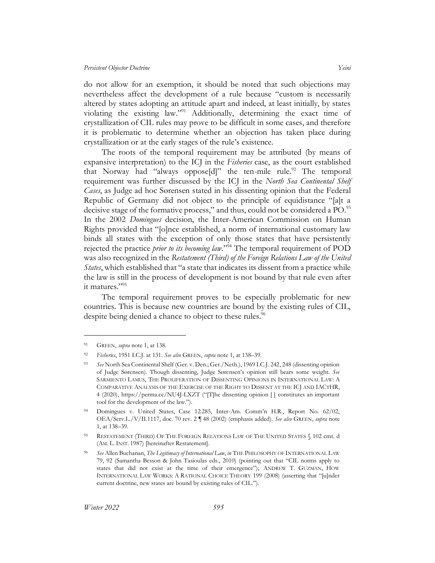do not allow for an exemption, it should be noted that such objections may nevertheless affect the development of a rule because "custom is necessarily altered by states adopting an attitude apart and indeed, at least initially, by states violating the existing law."<sup>91</sup> Additionally, determining the exact time of crystallization of CIL rules may prove to be difficult in some cases, and therefore it is problematic to determine whether an objection has taken place during crystallization or at the early stages of the rule's existence.

The roots of the temporal requirement may be attributed (by means of expansive interpretation) to the ICJ in the *Fisheries* case, as the court established that Norway had "always oppose[d]" the ten-mile rule.<sup>92</sup> The temporal requirement was further discussed by the ICJ in the *North Sea Continental Shelf Cases*, as Judge ad hoc Sørensen stated in his dissenting opinion that the Federal Republic of Germany did not object to the principle of equidistance "[a]t a decisive stage of the formative process," and thus, could not be considered a PO.<sup>93</sup> In the 2002 *Domingues* decision, the Inter-American Commission on Human Rights provided that "[o]nce established, a norm of international customary law binds all states with the exception of only those states that have persistently rejected the practice *prior to its becoming law*."<sup>94</sup> The temporal requirement of POD was also recognized in the *Restatement (Third) of the Foreign Relations Law of the United States*, which established that "a state that indicates its dissent from a practice while the law is still in the process of development is not bound by that rule even after it matures."<sup>95</sup>

<span id="page-15-0"></span>The temporal requirement proves to be especially problematic for new countries. This is because new countries are bound by the existing rules of CIL, despite being denied a chance to object to these rules.<sup>96</sup>

<sup>91</sup> GREEN, *supra* note [1,](#page-3-2) at 138.

<sup>92</sup> *Fisheries*, 1951 I.C.J. at 131. *See also* GREEN, *supra* not[e 1,](#page-3-2) at 138–39.

<sup>93</sup> *See* North Sea Continental Shelf (Ger. v. Den.; Ger./Neth.), 1969 I.C.J. 242, 248 (dissenting opinion of Judge Sørensen). Though dissenting, Judge Sørensen's opinion still bears some weight. *See*  SARMIENTO LAMUS, THE PROLIFERATION OF DISSENTING OPINIONS IN INTERNATIONAL LAW: A COMPARATIVE ANALYSIS OF THE EXERCISE OF THE RIGHT TO DISSENT AT THE ICJ AND IACTHR, 4 (2020), https://perma.cc/NU4J-LXZT ("[T]he dissenting opinion [ ] constitutes an important tool for the development of the law.").

<sup>94</sup> Domingues v. United States, Case 12.285, Inter-Am. Comm'n H.R., Report No. 62/02, OEA/Serv.L./V/II.1117, doc. 70 rev. 2 ¶ 48 (2002) (emphasis added). *See also* GREEN, *supra* note [1,](#page-3-2) at 138–39.

<sup>95</sup> RESTATEMENT (THIRD) OF THE FOREIGN RELATIONS LAW OF THE UNITED STATES § 102 cmt. d (AM. L. INST. 1987) [hereinafter Restatement].

<sup>96</sup> *See* Allen Buchanan, *The Legitimacy of International Law*, *in* THE PHILOSOPHY OF INTERNATIONAL LAW 79, 92 (Samantha Besson & John Tasioulas eds., 2010) (pointing out that "CIL norms apply to states that did not exist at the time of their emergence"); ANDREW T. GUZMAN, HOW INTERNATIONAL LAW WORKS: A RATIONAL CHOICE THEORY 199 (2008) (asserting that "[u]nder current doctrine, new states are bound by existing rules of CIL.").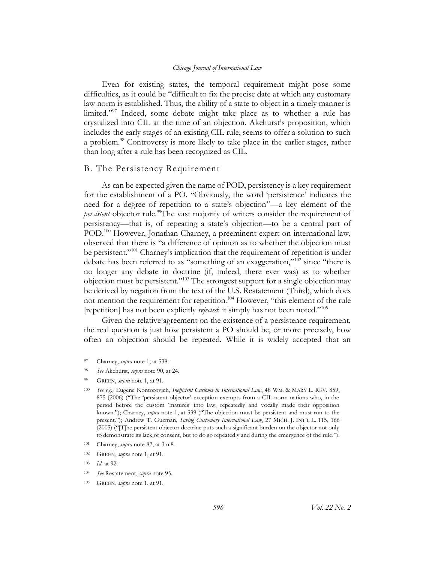Even for existing states, the temporal requirement might pose some difficulties, as it could be "difficult to fix the precise date at which any customary law norm is established. Thus, the ability of a state to object in a timely manner is limited."<sup>97</sup> Indeed, some debate might take place as to whether a rule has crystalized into CIL at the time of an objection. Akehurst's proposition, which includes the early stages of an existing CIL rule, seems to offer a solution to such a problem. <sup>98</sup> Controversy is more likely to take place in the earlier stages, rather than long after a rule has been recognized as CIL.

#### <span id="page-16-0"></span>B. The Persistency Requirement

<span id="page-16-1"></span>As can be expected given the name of POD, persistency is a key requirement for the establishment of a PO. "Obviously, the word 'persistence' indicates the need for a degree of repetition to a state's objection"—a key element of the *persistent* objector rule. <sup>99</sup>The vast majority of writers consider the requirement of persistency—that is, of repeating a state's objection—to be a central part of POD.<sup>100</sup> However, Jonathan Charney, a preeminent expert on international law, observed that there is "a difference of opinion as to whether the objection must be persistent."<sup>101</sup> Charney's implication that the requirement of repetition is under debate has been referred to as "something of an exaggeration,"<sup>102</sup> since "there is no longer any debate in doctrine (if, indeed, there ever was) as to whether objection must be persistent."<sup>103</sup> The strongest support for a single objection may be derived by negation from the text of the U.S. Restatement (Third), which does not mention the requirement for repetition.<sup>104</sup> However, "this element of the rule [repetition] has not been explicitly *rejected*: it simply has not been noted."<sup>105</sup>

Given the relative agreement on the existence of a persistence requirement, the real question is just how persistent a PO should be, or more precisely, how often an objection should be repeated. While it is widely accepted that an

<sup>97</sup> Charney, *supra* note [1,](#page-3-1) at 538.

<sup>98</sup> *See* Akehurst, *supra* note [90,](#page-14-3) at 24.

<sup>99</sup> GREEN, *supra* note [1,](#page-3-2) at 91.

<sup>100</sup> *See e.g.,* Eugene Kontorovich, *Inefficient Customs in International Law*, 48 WM. & MARY L. REV. 859, 875 (2006) ("The 'persistent objector' exception exempts from a CIL norm nations who, in the period before the custom 'matures' into law, repeatedly and vocally made their opposition known."); Charney, *supra* note [1,](#page-3-1) at 539 ("The objection must be persistent and must run to the present."); Andrew T. Guzman, *Saving Customary International Law*, 27 MICH. J. INT'L L. 115, 166 (2005) ("[T]he persistent objector doctrine puts such a significant burden on the objector not only to demonstrate its lack of consent, but to do so repeatedly and during the emergence of the rule.").

<sup>101</sup> Charney, *supra* note [82,](#page-14-2) at 3 n.8.

<sup>102</sup> GREEN, *supra* note [1,](#page-3-2) at 91.

<sup>103</sup> *Id.* at 92.

<sup>104</sup> *See* Restatement, *supra* note [95.](#page-15-0)

<sup>105</sup> GREEN, *supra* note [1,](#page-3-2) at 91.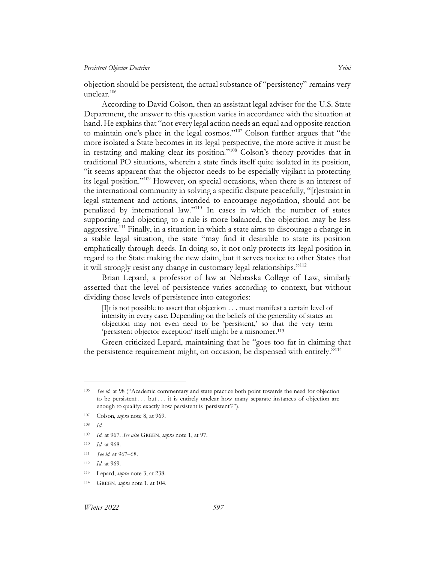objection should be persistent, the actual substance of "persistency" remains very unclear. 106

According to David Colson, then an assistant legal adviser for the U.S. State Department, the answer to this question varies in accordance with the situation at hand. He explains that "not every legal action needs an equal and opposite reaction to maintain one's place in the legal cosmos."<sup>107</sup> Colson further argues that "the more isolated a State becomes in its legal perspective, the more active it must be in restating and making clear its position."<sup>108</sup> Colson's theory provides that in traditional PO situations, wherein a state finds itself quite isolated in its position, "it seems apparent that the objector needs to be especially vigilant in protecting its legal position."<sup>109</sup> However, on special occasions, when there is an interest of the international community in solving a specific dispute peacefully, "[r]estraint in legal statement and actions, intended to encourage negotiation, should not be penalized by international law."<sup>110</sup> In cases in which the number of states supporting and objecting to a rule is more balanced, the objection may be less aggressive.<sup>111</sup> Finally, in a situation in which a state aims to discourage a change in a stable legal situation, the state "may find it desirable to state its position emphatically through deeds. In doing so, it not only protects its legal position in regard to the State making the new claim, but it serves notice to other States that it will strongly resist any change in customary legal relationships."<sup>112</sup>

Brian Lepard, a professor of law at Nebraska College of Law, similarly asserted that the level of persistence varies according to context, but without dividing those levels of persistence into categories:

[I]t is not possible to assert that objection . . . must manifest a certain level of intensity in every case. Depending on the beliefs of the generality of states an objection may not even need to be 'persistent,' so that the very term 'persistent objector exception' itself might be a misnomer. 113

Green criticized Lepard, maintaining that he "goes too far in claiming that the persistence requirement might, on occasion, be dispensed with entirely."<sup>114</sup>

- <sup>111</sup> *See id.* at 967–68.
- <sup>112</sup> *Id.* at 969.

<sup>106</sup> *See id.* at 98 ("Academic commentary and state practice both point towards the need for objection to be persistent . . . but . . . it is entirely unclear how many separate instances of objection are enough to qualify: exactly how persistent is 'persistent'?").

<sup>107</sup> Colson, *supra* not[e 8,](#page-4-2) at 969.

<sup>108</sup> *Id.*

<sup>109</sup> *Id.* at 967. *See also* GREEN, *supra* not[e 1,](#page-3-2) at 97.

<sup>110</sup> *Id.* at 968.

<sup>113</sup> Lepard, *supra* not[e 3,](#page-3-5) at 238.

<sup>114</sup> GREEN, *supra* note [1,](#page-3-2) at 104.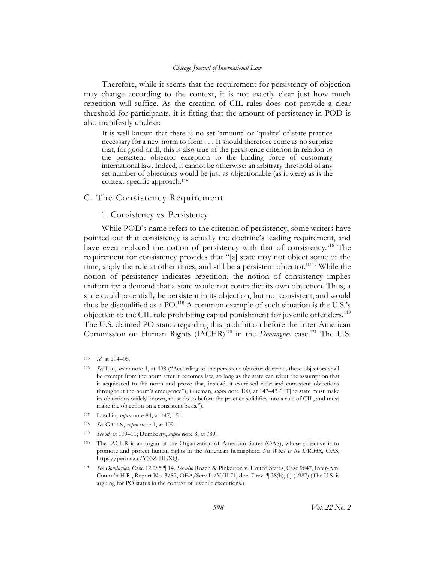Therefore, while it seems that the requirement for persistency of objection may change according to the context, it is not exactly clear just how much repetition will suffice. As the creation of CIL rules does not provide a clear threshold for participants, it is fitting that the amount of persistency in POD is also manifestly unclear:

It is well known that there is no set 'amount' or 'quality' of state practice necessary for a new norm to form . . . It should therefore come as no surprise that, for good or ill, this is also true of the persistence criterion in relation to the persistent objector exception to the binding force of customary international law. Indeed, it cannot be otherwise: an arbitrary threshold of any set number of objections would be just as objectionable (as it were) as is the context-specific approach. 115

## <span id="page-18-1"></span><span id="page-18-0"></span>C. The Consistency Requirement

## 1. Consistency vs. Persistency

While POD's name refers to the criterion of persistency, some writers have pointed out that consistency is actually the doctrine's leading requirement, and have even replaced the notion of persistency with that of consistency.<sup>116</sup> The requirement for consistency provides that "[a] state may not object some of the time, apply the rule at other times, and still be a persistent objector."<sup>117</sup> While the notion of persistency indicates repetition, the notion of consistency implies uniformity: a demand that a state would not contradict its own objection. Thus, a state could potentially be persistent in its objection, but not consistent, and would thus be disqualified as a  $PO^{118}$  A common example of such situation is the U.S.'s objection to the CIL rule prohibiting capital punishment for juvenile offenders.<sup>119</sup> The U.S. claimed PO status regarding this prohibition before the Inter-American Commission on Human Rights (IACHR)<sup>120</sup> in the *Domingues* case.<sup>121</sup> The U.S.

<sup>115</sup> *Id.* at 104–05.

<sup>116</sup> *See* Lau, *supra* not[e 1,](#page-3-2) at 498 ("According to the persistent objector doctrine, these objectors shall be exempt from the norm after it becomes law, so long as the state can rebut the assumption that it acquiesced to the norm and prove that, instead, it exercised clear and consistent objections throughout the norm's emergence"); Guzman, *supra* note [100,](#page-16-1) at 142–43 ("[T]he state must make its objections widely known, must do so before the practice solidifies into a rule of CIL, and must make the objection on a consistent basis.").

<sup>117</sup> Loschin, *supra* note [84,](#page-14-4) at 147, 151.

<sup>118</sup> *See* GREEN, *supra* note [1,](#page-3-2) at 109.

<sup>119</sup> *See id.* at 109–11; Dumberry, *supra* not[e 8,](#page-4-2) at 789.

<sup>120</sup> The IACHR is an organ of the Organization of American States (OAS), whose objective is to promote and protect human rights in the American hemisphere. *See What Is the IACHR*, OAS, https://perma.cc/Y33Z-HEXQ.

<sup>121</sup> *See Domingues*, Case 12.285 ¶ 14. *See also* Roach & Pinkerton v. United States, Case 9647, Inter-Am. Comm'n H.R., Report No. 3/87, OEA/Serv.L./V/II.71, doc. 7 rev. ¶ 38(h), (i) (1987) (The U.S. is arguing for PO status in the context of juvenile executions.).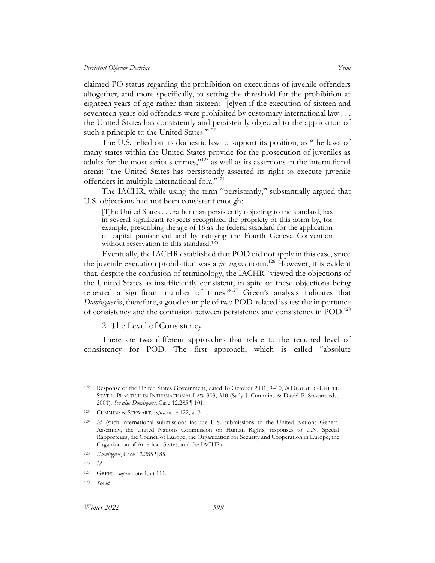claimed PO status regarding the prohibition on executions of juvenile offenders altogether, and more specifically, to setting the threshold for the prohibition at eighteen years of age rather than sixteen: "[e]ven if the execution of sixteen and seventeen-years old offenders were prohibited by customary international law . . . the United States has consistently and persistently objected to the application of such a principle to the United States."<sup>122</sup>

<span id="page-19-1"></span>The U.S. relied on its domestic law to support its position, as "the laws of many states within the United States provide for the prosecution of juveniles as adults for the most serious crimes,"<sup>123</sup> as well as its assertions in the international arena: "the United States has persistently asserted its right to execute juvenile offenders in multiple international fora."<sup>124</sup>

The IACHR, while using the term "persistently," substantially argued that U.S. objections had not been consistent enough:

[T]he United States . . . rather than persistently objecting to the standard, has in several significant respects recognized the propriety of this norm by, for example, prescribing the age of 18 as the federal standard for the application of capital punishment and by ratifying the Fourth Geneva Convention without reservation to this standard. 125

Eventually, the IACHR established that POD did not apply in this case, since the juvenile execution prohibition was a *jus cogens* norm.<sup>126</sup> However, it is evident that, despite the confusion of terminology, the IACHR "viewed the objections of the United States as insufficiently consistent, in spite of these objections being repeated a significant number of times."<sup>127</sup> Green's analysis indicates that *Domingues* is, therefore, a good example of two POD-related issues: the importance of consistency and the confusion between persistency and consistency in POD. 128

2. The Level of Consistency

<span id="page-19-0"></span>There are two different approaches that relate to the required level of consistency for POD. The first approach, which is called "absolute

<sup>122</sup> Response of the United States Government, dated 18 October 2001, 9–10, *in* DIGEST OF UNITED STATES PRACTICE IN INTERNATIONAL LAW 303, 310 (Sally J. Cummins & David P. Stewart eds., 2001). *See also Domingues*, Case 12.285 ¶ 101.

<sup>123</sup> CUMMINS & STEWART, *supra* note [122,](#page-19-1) at 311.

<sup>124</sup> *Id.* (such international submissions include U.S. submissions to the United Nations General Assembly, the United Nations Commission on Human Rights, responses to U.N. Special Rapporteurs, the Council of Europe, the Organization for Security and Cooperation in Europe, the Organization of American States, and the IACHR).

<sup>125</sup> *Domingues*, Case 12.285 ¶ 85.

<sup>126</sup> *Id.*

<sup>127</sup> GREEN, *supra* note [1,](#page-3-2) at 111.

<sup>128</sup> *See id.*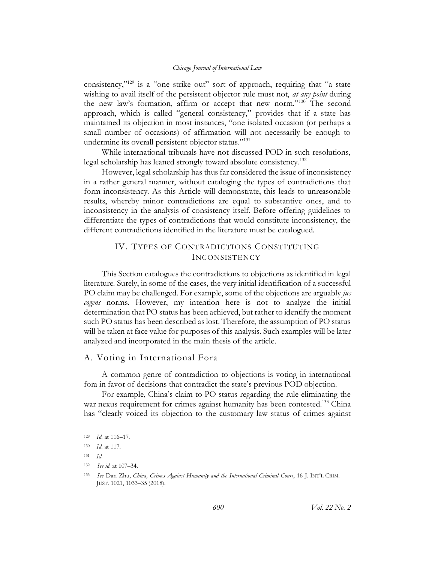consistency,"<sup>129</sup> is a "one strike out" sort of approach, requiring that "a state wishing to avail itself of the persistent objector rule must not, *at any point* during the new law's formation, affirm or accept that new norm."<sup>130</sup> The second approach, which is called "general consistency," provides that if a state has maintained its objection in most instances, "one isolated occasion (or perhaps a small number of occasions) of affirmation will not necessarily be enough to undermine its overall persistent objector status."<sup>131</sup>

While international tribunals have not discussed POD in such resolutions, legal scholarship has leaned strongly toward absolute consistency. 132

However, legal scholarship has thus far considered the issue of inconsistency in a rather general manner, without cataloging the types of contradictions that form inconsistency. As this Article will demonstrate, this leads to unreasonable results, whereby minor contradictions are equal to substantive ones, and to inconsistency in the analysis of consistency itself. Before offering guidelines to differentiate the types of contradictions that would constitute inconsistency, the different contradictions identified in the literature must be catalogued.

## <span id="page-20-0"></span>IV. TYPES OF CONTRADICTIONS CONSTITUTING INCONSISTENCY

This Section catalogues the contradictions to objections as identified in legal literature. Surely, in some of the cases, the very initial identification of a successful PO claim may be challenged. For example, some of the objections are arguably *jus cogens* norms. However, my intention here is not to analyze the initial determination that PO status has been achieved, but rather to identify the moment such PO status has been described as lost. Therefore, the assumption of PO status will be taken at face value for purposes of this analysis. Such examples will be later analyzed and incorporated in the main thesis of the article.

## <span id="page-20-1"></span>A. Voting in International Fora

A common genre of contradiction to objections is voting in international fora in favor of decisions that contradict the state's previous POD objection.

<span id="page-20-2"></span>For example, China's claim to PO status regarding the rule eliminating the war nexus requirement for crimes against humanity has been contested.<sup>133</sup> China has "clearly voiced its objection to the customary law status of crimes against

<sup>129</sup> *Id.* at 116–17.

<sup>130</sup> *Id.* at 117.

<sup>131</sup> *Id.*

<sup>132</sup> *See id.* at 107–34.

<sup>133</sup> *See* Dan Zhu, *China, Crimes Against Humanity and the International Criminal Court*, 16 J. INT'L CRIM. JUST. 1021, 1033–35 (2018).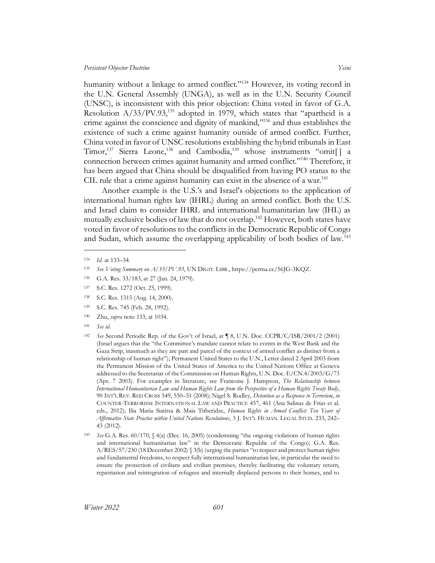humanity without a linkage to armed conflict."<sup>134</sup> However, its voting record in the U.N. General Assembly (UNGA), as well as in the U.N. Security Council (UNSC), is inconsistent with this prior objection: China voted in favor of G.A. Resolution  $A/33/PV.93$ <sup>135</sup> adopted in 1979, which states that "apartheid is a crime against the conscience and dignity of mankind," <sup>136</sup> and thus establishes the existence of such a crime against humanity outside of armed conflict. Further, China voted in favor of UNSC resolutions establishing the hybrid tribunals in East Timor,<sup>137</sup> Sierra Leone,<sup>138</sup> and Cambodia,<sup>139</sup> whose instruments "omit[] a connection between crimes against humanity and armed conflict."<sup>140</sup> Therefore, it has been argued that China should be disqualified from having PO status to the CIL rule that a crime against humanity can exist in the absence of a war.<sup>141</sup>

<span id="page-21-0"></span>Another example is the U.S.'s and Israel's objections to the application of international human rights law (IHRL) during an armed conflict. Both the U.S. and Israel claim to consider IHRL and international humanitarian law (IHL) as mutually exclusive bodies of law that do not overlap.<sup>142</sup> However, both states have voted in favor of resolutions to the conflicts in the Democratic Republic of Congo and Sudan, which assume the overlapping applicability of both bodies of law.<sup>143</sup>

- <sup>139</sup> S.C. Res. 745 (Feb. 28, 1992).
- <sup>140</sup> Zhu, *supra* note [133,](#page-20-2) at 1034.
- <sup>141</sup> *See id*.
- <sup>142</sup> *See* Second Periodic Rep. of the Gov't of Israel, at ¶ 8, U.N. Doc. CCPR/C/ISR/2001/2 (2001) (Israel argues that the "the Committee's mandate cannot relate to events in the West Bank and the Gaza Strip, inasmuch as they are part and parcel of the context of armed conflict as distinct from a relationship of human right"); Permanent United States to the U.N., Letter dated 2 April 2003 from the Permanent Mission of the United States of America to the United Nations Office at Geneva addressed to the Secretariat of the Commission on Human Rights, U.N. Doc. E/CN.4/2003/G/73 (Apr. 7 2003). For examples in literature, see Francoise J. Hampson, *The Relationship between International Humanitarian Law and Human Rights Law from the Perspective of a Human Rights Treaty Body*, 90 INT'L REV. RED CROSS 549, 550–51 (2008); Nigel S. Rodley, *Detention as a Response to Terrorism*, *in* COUNTER-TERRORISM: INTERNATIONAL LAW AND PRACTICE 457, 461 (Ana Salinas de Frías et al. eds., 2012); Ilia Maria Siatitsa & Maia Titberidze, *Human Rights in Armed Conflict: Ten Years of Affirmative State Practice within United Nations Resolutions*, 3 J. INT'L HUMAN. LEGAL STUD. 233, 242– 43 (2012).
- <sup>143</sup> *See* G.A. Res. 60/170, § 4(a) (Dec. 16, 2005) (condemning "the ongoing violations of human rights and international humanitarian law" in the Democratic Republic of the Congo); G.A. Res. A/RES/57/230 (18 December 2002) § 3(b) (urging the parties "to respect and protect human rights and fundamental freedoms, to respect fully international humanitarian law, in particular the need to ensure the protection of civilians and civilian premises, thereby facilitating the voluntary return, repatriation and reintegration of refugees and internally displaced persons to their homes, and to

<sup>134</sup> *Id.* at 133–34.

<sup>135</sup> *See Voting Summary on A/33/PV.93*, UN DIGIT. LIBR., https://perma.cc/56JG-3KQZ.

<sup>136</sup> G.A. Res. 33/183, at 27 (Jan. 24, 1979).

<sup>137</sup> S.C. Res. 1272 (Oct. 25, 1999).

<sup>138</sup> S.C. Res. 1315 (Aug. 14, 2000).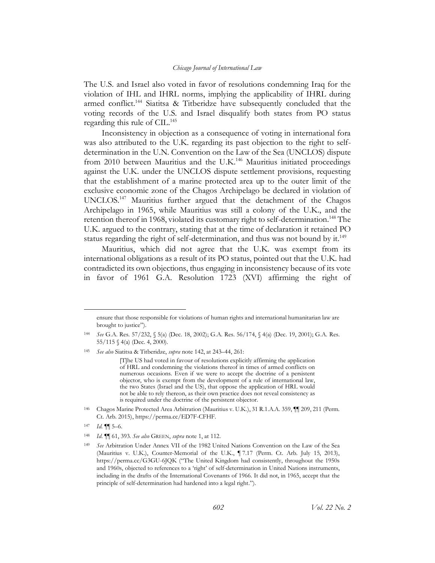The U.S. and Israel also voted in favor of resolutions condemning Iraq for the violation of IHL and IHRL norms, implying the applicability of IHRL during armed conflict.<sup>144</sup> Siatitsa & Titberidze have subsequently concluded that the voting records of the U.S. and Israel disqualify both states from PO status regarding this rule of CIL. 145

Inconsistency in objection as a consequence of voting in international fora was also attributed to the U.K. regarding its past objection to the right to selfdetermination in the U.N. Convention on the Law of the Sea (UNCLOS) dispute from 2010 between Mauritius and the U.K.<sup>146</sup> Mauritius initiated proceedings against the U.K. under the UNCLOS dispute settlement provisions, requesting that the establishment of a marine protected area up to the outer limit of the exclusive economic zone of the Chagos Archipelago be declared in violation of UNCLOS.<sup>147</sup> Mauritius further argued that the detachment of the Chagos Archipelago in 1965, while Mauritius was still a colony of the U.K., and the retention thereof in 1968, violated its customary right to self-determination.<sup>148</sup> The U.K. argued to the contrary, stating that at the time of declaration it retained PO status regarding the right of self-determination, and thus was not bound by it.<sup>149</sup>

Mauritius, which did not agree that the U.K. was exempt from its international obligations as a result of its PO status, pointed out that the U.K. had contradicted its own objections, thus engaging in inconsistency because of its vote in favor of 1961 G.A. Resolution 1723 (XVI) affirming the right of

[T]he US had voted in favour of resolutions explicitly affirming the application of HRL and condemning the violations thereof in times of armed conflicts on numerous occasions. Even if we were to accept the doctrine of a persistent objector, who is exempt from the development of a rule of international law, the two States (Israel and the US), that oppose the application of HRL would not be able to rely thereon, as their own practice does not reveal consistency as is required under the doctrine of the persistent objector.

- <sup>146</sup> Chagos Marine Protected Area Arbitration (Mauritius v. U.K.), 31 R.1.A.A. 359, ¶¶ 209, 211 (Perm. Ct. Arb. 2015), https://perma.cc/ED7F-CFHF.
- $147$  *Id.*  $\P\P$  5–6.

ensure that those responsible for violations of human rights and international humanitarian law are brought to justice").

<sup>144</sup> *See* G.A. Res. 57/232, § 5(a) (Dec. 18, 2002); G.A. Res. 56/174, § 4(a) (Dec. 19, 2001); G.A. Res. 55/115 § 4(a) (Dec. 4, 2000).

<sup>145</sup> *See also* Siatitsa & Titberidze, *supra* not[e 142,](#page-21-0) at 243–44, 261:

<sup>148</sup> *Id*. ¶¶ 61, 393. *See also* GREEN, *supra* not[e 1,](#page-3-2) at 112.

<sup>149</sup> *See* Arbitration Under Annex VII of the 1982 United Nations Convention on the Law of the Sea (Mauritius v. U.K.), Counter-Memorial of the U.K., ¶ 7.17 (Perm. Ct. Arb. July 15, 2013), https://perma.cc/G3GU-6JQK ("The United Kingdom had consistently, throughout the 1950s and 1960s, objected to references to a 'right' of self-determination in United Nations instruments, including in the drafts of the International Covenants of 1966. It did not, in 1965, accept that the principle of self-determination had hardened into a legal right.").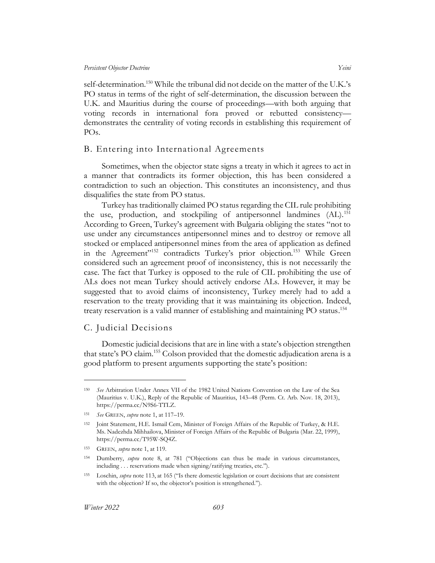self-determination.<sup>150</sup> While the tribunal did not decide on the matter of the U.K.'s PO status in terms of the right of self-determination, the discussion between the U.K. and Mauritius during the course of proceedings—with both arguing that voting records in international fora proved or rebutted consistency demonstrates the centrality of voting records in establishing this requirement of POs.

## <span id="page-23-0"></span>B. Entering into International Agreements

Sometimes, when the objector state signs a treaty in which it agrees to act in a manner that contradicts its former objection, this has been considered a contradiction to such an objection. This constitutes an inconsistency, and thus disqualifies the state from PO status.

Turkey has traditionally claimed PO status regarding the CIL rule prohibiting the use, production, and stockpiling of antipersonnel landmines  $(AL)$ <sup>151</sup> According to Green, Turkey's agreement with Bulgaria obliging the states "not to use under any circumstances antipersonnel mines and to destroy or remove all stocked or emplaced antipersonnel mines from the area of application as defined in the Agreement<sup>"152</sup> contradicts Turkey's prior objection.<sup>153</sup> While Green considered such an agreement proof of inconsistency, this is not necessarily the case. The fact that Turkey is opposed to the rule of CIL prohibiting the use of ALs does not mean Turkey should actively endorse ALs. However, it may be suggested that to avoid claims of inconsistency, Turkey merely had to add a reservation to the treaty providing that it was maintaining its objection. Indeed, treaty reservation is a valid manner of establishing and maintaining PO status. 154

## <span id="page-23-1"></span>C. Judicial Decisions

Domestic judicial decisions that are in line with a state's objection strengthen that state's PO claim.<sup>155</sup> Colson provided that the domestic adjudication arena is a good platform to present arguments supporting the state's position:

<sup>150</sup> *See* Arbitration Under Annex VII of the 1982 United Nations Convention on the Law of the Sea (Mauritius v. U.K.), Reply of the Republic of Mauritius, 143–48 (Perm. Ct. Arb. Nov. 18, 2013), https://perma.cc/N9S6-TTLZ.

<sup>151</sup> *See* GREEN, *supra* note [1,](#page-3-2) at 117–19.

<sup>152</sup> Joint Statement, H.E. Ismail Cem, Minister of Foreign Affairs of the Republic of Turkey, & H.E. Ms. Nadezhda Mihhailova, Minister of Foreign Affairs of the Republic of Bulgaria (Mar. 22, 1999), https://perma.cc/T95W-SQ4Z.

<sup>153</sup> GREEN, *supra* note [1,](#page-3-2) at 119.

<sup>154</sup> Dumberry, *supra* note [8,](#page-4-2) at 781 ("Objections can thus be made in various circumstances, including . . . reservations made when signing/ratifying treaties, etc.").

<sup>155</sup> Loschin, *supra* note 113, at 165 ("Is there domestic legislation or court decisions that are consistent with the objection? If so, the objector's position is strengthened.").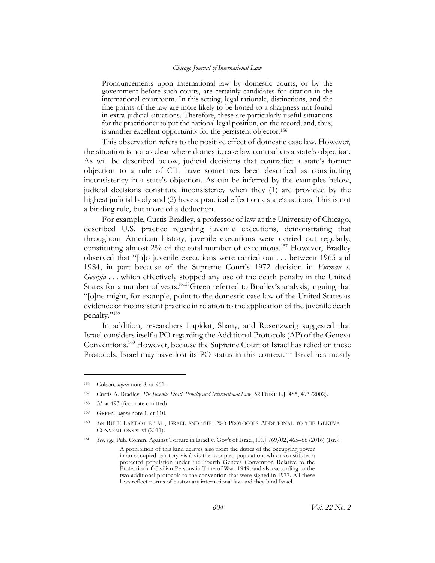Pronouncements upon international law by domestic courts, or by the government before such courts, are certainly candidates for citation in the international courtroom. In this setting, legal rationale, distinctions, and the fine points of the law are more likely to be honed to a sharpness not found in extra-judicial situations. Therefore, these are particularly useful situations for the practitioner to put the national legal position, on the record; and, thus, is another excellent opportunity for the persistent objector.<sup>156</sup>

This observation refers to the positive effect of domestic case law. However, the situation is not as clear where domestic case law contradicts a state's objection. As will be described below, judicial decisions that contradict a state's former objection to a rule of CIL have sometimes been described as constituting inconsistency in a state's objection. As can be inferred by the examples below, judicial decisions constitute inconsistency when they (1) are provided by the highest judicial body and (2) have a practical effect on a state's actions. This is not a binding rule, but more of a deduction.

<span id="page-24-2"></span>For example, Curtis Bradley, a professor of law at the University of Chicago, described U.S. practice regarding juvenile executions, demonstrating that throughout American history, juvenile executions were carried out regularly, constituting almost 2% of the total number of executions.<sup>157</sup> However, Bradley observed that "[n]o juvenile executions were carried out . . . between 1965 and 1984, in part because of the Supreme Court's 1972 decision in *Furman v. Georgia* . . . which effectively stopped any use of the death penalty in the United States for a number of years."<sup>158</sup>Green referred to Bradley's analysis, arguing that "[o]ne might, for example, point to the domestic case law of the United States as evidence of inconsistent practice in relation to the application of the juvenile death penalty."<sup>159</sup>

<span id="page-24-0"></span>In addition, researchers Lapidot, Shany, and Rosenzweig suggested that Israel considers itself a PO regarding the Additional Protocols (AP) of the Geneva Conventions. <sup>160</sup> However, because the Supreme Court of Israel has relied on these Protocols, Israel may have lost its PO status in this context.<sup>161</sup> Israel has mostly

<sup>156</sup> Colson, *supra* not[e 8,](#page-4-2) at 961.

<sup>157</sup> Curtis A. Bradley, *The Juvenile Death Penalty and International Law*, 52 DUKE L.J. 485, 493 (2002).

<sup>158</sup> *Id.* at 493 (footnote omitted).

<sup>159</sup> GREEN, *supra* note [1,](#page-3-2) at 110.

See RUTH LAPIDOT ET AL., ISRAEL AND THE TWO PROTOCOLS ADDITIONAL TO THE GENEVA CONVENTIONS v–vi (2011).

<sup>161</sup> *See, e.g.*, Pub. Comm. Against Torture in Israel v. Gov't of Israel, HCJ 769/02, 465–66 (2016) (Isr.):

<span id="page-24-1"></span>A prohibition of this kind derives also from the duties of the occupying power in an occupied territory vis-à-vis the occupied population, which constitutes a protected population under the Fourth Geneva Convention Relative to the Protection of Civilian Persons in Time of War, 1949, and also according to the two additional protocols to the convention that were signed in 1977. All these laws reflect norms of customary international law and they bind Israel.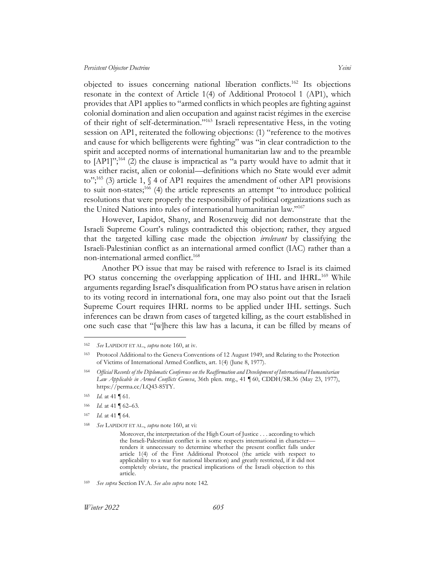objected to issues concerning national liberation conflicts.<sup>162</sup> Its objections resonate in the context of Article 1(4) of Additional Protocol 1 (AP1), which provides that AP1 applies to "armed conflicts in which peoples are fighting against colonial domination and alien occupation and against racist régimes in the exercise of their right of self-determination."<sup>163</sup> Israeli representative Hess, in the voting session on AP1, reiterated the following objections: (1) "reference to the motives and cause for which belligerents were fighting" was "in clear contradiction to the spirit and accepted norms of international humanitarian law and to the preamble to  $[{\rm AP1}]^{3,164}$  (2) the clause is impractical as "a party would have to admit that it was either racist, alien or colonial—definitions which no State would ever admit to";<sup>165</sup> (3) article 1, § 4 of AP1 requires the amendment of other AP1 provisions to suit non-states;<sup>166</sup> (4) the article represents an attempt "to introduce political resolutions that were properly the responsibility of political organizations such as the United Nations into rules of international humanitarian law."<sup>167</sup>

However, Lapidot, Shany, and Rosenzweig did not demonstrate that the Israeli Supreme Court's rulings contradicted this objection; rather, they argued that the targeted killing case made the objection *irrelevant* by classifying the Israeli-Palestinian conflict as an international armed conflict (IAC) rather than a non-international armed conflict. 168

Another PO issue that may be raised with reference to Israel is its claimed PO status concerning the overlapping application of IHL and IHRL.<sup>169</sup> While arguments regarding Israel's disqualification from PO status have arisen in relation to its voting record in international fora, one may also point out that the Israeli Supreme Court requires IHRL norms to be applied under IHL settings. Such inferences can be drawn from cases of targeted killing, as the court established in one such case that "[w]here this law has a lacuna, it can be filled by means of

<sup>162</sup> *See* LAPIDOT ET AL., *supra* note [160,](#page-24-0) at iv.

<sup>163</sup> Protocol Additional to the Geneva Conventions of 12 August 1949, and Relating to the Protection of Victims of International Armed Conflicts, art. 1(4) (June 8, 1977).

<sup>164</sup> *Official Records of the Diplomatic Conference on the Reaffirmation and Development of International Humanitarian Law Applicable in Armed Conflicts Geneva*, 36th plen. mtg., 41 ¶ 60, CDDH/SR.36 (May 23, 1977), https://perma.cc/LQ43-85TY.

<sup>165</sup> *Id.* at 41 ¶ 61.

<sup>166</sup> *Id.* at 41 ¶ 62–63.

<sup>167</sup> *Id.* at 41 ¶ 64.

<sup>168</sup> *See* LAPIDOT ET AL., *supra* not[e 160,](#page-24-0) at vi:

Moreover, the interpretation of the High Court of Justice . . . according to which the Israeli-Palestinian conflict is in some respects international in character renders it unnecessary to determine whether the present conflict falls under article 1(4) of the First Additional Protocol (the article with respect to applicability to a war for national liberation) and greatly restricted, if it did not completely obviate, the practical implications of the Israeli objection to this article.

<sup>169</sup> *See supra* [Section IV.A.](#page-20-1) *See also supra* not[e 142.](#page-21-0)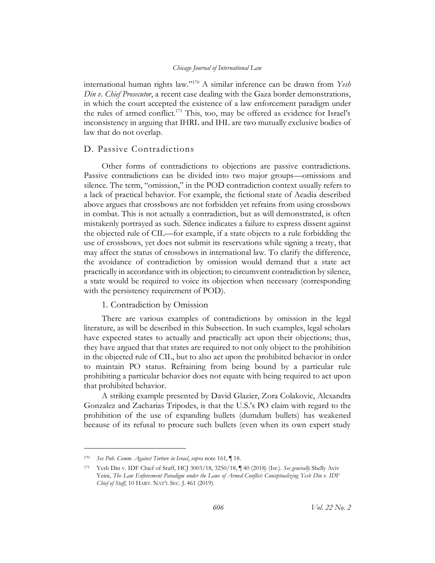international human rights law." <sup>170</sup> A similar inference can be drawn from *Yesh Din v. Chief Prosecutor*, a recent case dealing with the Gaza border demonstrations, in which the court accepted the existence of a law enforcement paradigm under the rules of armed conflict.<sup>171</sup> This, too, may be offered as evidence for Israel's inconsistency in arguing that IHRL and IHL are two mutually exclusive bodies of law that do not overlap.

## <span id="page-26-0"></span>D. Passive Contradictions

Other forms of contradictions to objections are passive contradictions. Passive contradictions can be divided into two major groups—omissions and silence. The term, "omission," in the POD contradiction context usually refers to a lack of practical behavior. For example, the fictional state of Acadia described above argues that crossbows are not forbidden yet refrains from using crossbows in combat. This is not actually a contradiction, but as will demonstrated, is often mistakenly portrayed as such. Silence indicates a failure to express dissent against the objected rule of CIL—for example, if a state objects to a rule forbidding the use of crossbows, yet does not submit its reservations while signing a treaty, that may affect the status of crossbows in international law. To clarify the difference, the avoidance of contradiction by omission would demand that a state act practically in accordance with its objection; to circumvent contradiction by silence, a state would be required to voice its objection when necessary (corresponding with the persistency requirement of POD).

## 1. Contradiction by Omission

<span id="page-26-1"></span>There are various examples of contradictions by omission in the legal literature, as will be described in this Subsection. In such examples, legal scholars have expected states to actually and practically act upon their objections; thus, they have argued that that states are required to not only object to the prohibition in the objected rule of CIL, but to also act upon the prohibited behavior in order to maintain PO status. Refraining from being bound by a particular rule prohibiting a particular behavior does not equate with being required to act upon that prohibited behavior.

A striking example presented by David Glazier, Zora Colakovic, Alexandra Gonzalez and Zacharias Tripodes, is that the U.S.'s PO claim with regard to the prohibition of the use of expanding bullets (dumdum bullets) has weakened because of its refusal to procure such bullets (even when its own expert study

<sup>170</sup> *See Pub. Comm. Against Torture in Israel*, *supra* note [161,](#page-24-1) ¶ 18.

<sup>171</sup> Yesh Din v. IDF Chief of Staff*,* HCJ 3003/18, 3250/18, ¶ 40 (2018) (Isr.). *See generally* Shelly Aviv Yeini, *The Law Enforcement Paradigm under the Laws of Armed Conflict: Conceptualizing Yesh Din v. IDF Chief of Staff*, 10 HARV. NAT'L SEC. J. 461 (2019).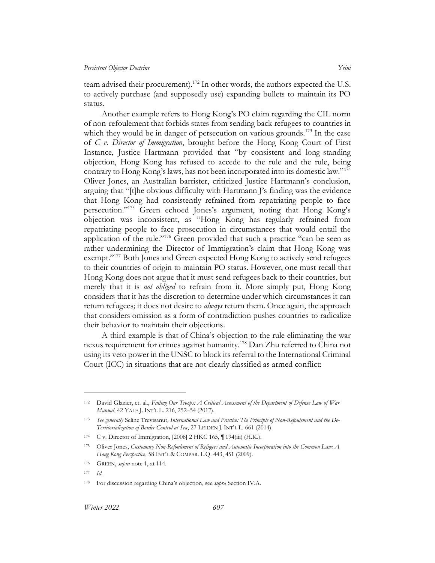<span id="page-27-0"></span>team advised their procurement).<sup>172</sup> In other words, the authors expected the U.S. to actively purchase (and supposedly use) expanding bullets to maintain its PO status.

<span id="page-27-1"></span>Another example refers to Hong Kong's PO claim regarding the CIL norm of non-refoulement that forbids states from sending back refugees to countries in which they would be in danger of persecution on various grounds.<sup>173</sup> In the case of *C v. Director of Immigration*, brought before the Hong Kong Court of First Instance, Justice Hartmann provided that "by consistent and long-standing objection, Hong Kong has refused to accede to the rule and the rule, being contrary to Hong Kong's laws, has not been incorporated into its domestic law."<sup>174</sup> Oliver Jones, an Australian barrister, criticized Justice Hartmann's conclusion, arguing that "[t]he obvious difficulty with Hartmann J's finding was the evidence that Hong Kong had consistently refrained from repatriating people to face persecution."<sup>175</sup> Green echoed Jones's argument, noting that Hong Kong's objection was inconsistent, as "Hong Kong has regularly refrained from repatriating people to face prosecution in circumstances that would entail the application of the rule."<sup>176</sup> Green provided that such a practice "can be seen as rather undermining the Director of Immigration's claim that Hong Kong was exempt."<sup>177</sup> Both Jones and Green expected Hong Kong to actively send refugees to their countries of origin to maintain PO status. However, one must recall that Hong Kong does not argue that it must send refugees back to their countries, but merely that it is *not obliged* to refrain from it. More simply put, Hong Kong considers that it has the discretion to determine under which circumstances it can return refugees; it does not desire to *always* return them. Once again, the approach that considers omission as a form of contradiction pushes countries to radicalize their behavior to maintain their objections.

A third example is that of China's objection to the rule eliminating the war nexus requirement for crimes against humanity.<sup>178</sup> Dan Zhu referred to China not using its veto power in the UNSC to block its referral to the International Criminal Court (ICC) in situations that are not clearly classified as armed conflict:

<sup>172</sup> David Glazier, et. al., *Failing Our Troops: A Critical Assessment of the Department of Defense Law of War Manual*, 42 YALE J. INT'L L. 216, 252–54 (2017).

<sup>173</sup> *See generally* Seline Trevisanut*, International Law and Practice: The Principle of Non-Refoulement and the De-Territorialization of Border Control at Sea*, 27 LEIDEN J. INT'L L. 661 (2014).

<sup>174</sup> C v. Director of Immigration, [2008] 2 HKC 165, ¶ 194(iii) (H.K.).

<sup>175</sup> Oliver Jones, *Customary Non-Refoulement of Refugees and Automatic Incorporation into the Common Law: A Hong Kong Perspective*, 58 INT'L & COMPAR. L.Q. 443, 451 (2009).

<sup>176</sup> GREEN, *supra* note [1,](#page-3-2) at 114.

<sup>177</sup> *Id.*

<sup>178</sup> For discussion regarding China's objection, see *supra* Sectio[n IV.A.](#page-20-1)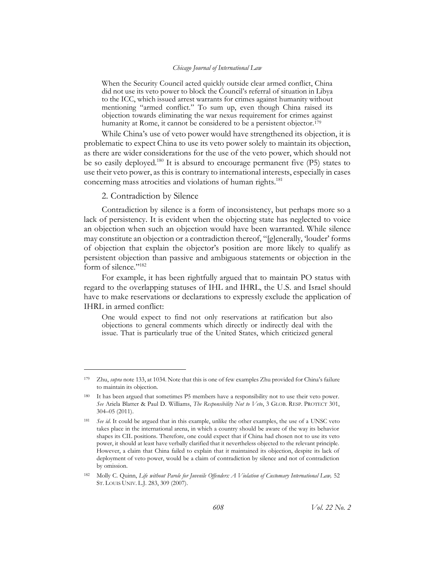When the Security Council acted quickly outside clear armed conflict, China did not use its veto power to block the Council's referral of situation in Libya to the ICC, which issued arrest warrants for crimes against humanity without mentioning "armed conflict." To sum up, even though China raised its objection towards eliminating the war nexus requirement for crimes against humanity at Rome, it cannot be considered to be a persistent objector.<sup>179</sup>

While China's use of veto power would have strengthened its objection, it is problematic to expect China to use its veto power solely to maintain its objection, as there are wider considerations for the use of the veto power, which should not be so easily deployed.<sup>180</sup> It is absurd to encourage permanent five (P5) states to use their veto power, as this is contrary to international interests, especially in cases concerning mass atrocities and violations of human rights. 181

2. Contradiction by Silence

<span id="page-28-0"></span>Contradiction by silence is a form of inconsistency, but perhaps more so a lack of persistency. It is evident when the objecting state has neglected to voice an objection when such an objection would have been warranted. While silence may constitute an objection or a contradiction thereof, "[g]enerally, 'louder' forms of objection that explain the objector's position are more likely to qualify as persistent objection than passive and ambiguous statements or objection in the form of silence."<sup>182</sup>

<span id="page-28-1"></span>For example, it has been rightfully argued that to maintain PO status with regard to the overlapping statuses of IHL and IHRL, the U.S. and Israel should have to make reservations or declarations to expressly exclude the application of IHRL in armed conflict:

One would expect to find not only reservations at ratification but also objections to general comments which directly or indirectly deal with the issue. That is particularly true of the United States, which criticized general

<sup>179</sup> Zhu, *supra* not[e 133](#page-20-2), at 1034. Note that this is one of few examples Zhu provided for China's failure to maintain its objection.

<sup>180</sup> It has been argued that sometimes P5 members have a responsibility not to use their veto power*. See* Ariela Blatter & Paul D. Williams, *The Responsibility Not to Veto*, 3 GLOB. RESP. PROTECT 301, 304–05 (2011).

<sup>181</sup> *See id*. It could be argued that in this example, unlike the other examples, the use of a UNSC veto takes place in the international arena, in which a country should be aware of the way its behavior shapes its CIL positions. Therefore, one could expect that if China had chosen not to use its veto power, it should at least have verbally clarified that it nevertheless objected to the relevant principle. However, a claim that China failed to explain that it maintained its objection, despite its lack of deployment of veto power, would be a claim of contradiction by silence and not of contradiction by omission.

<sup>182</sup> Molly C. Quinn, *Life without Parole for Juvenile Offenders: A Violation of Customary International Law,* 52 ST. LOUIS UNIV. L.J. 283, 309 (2007).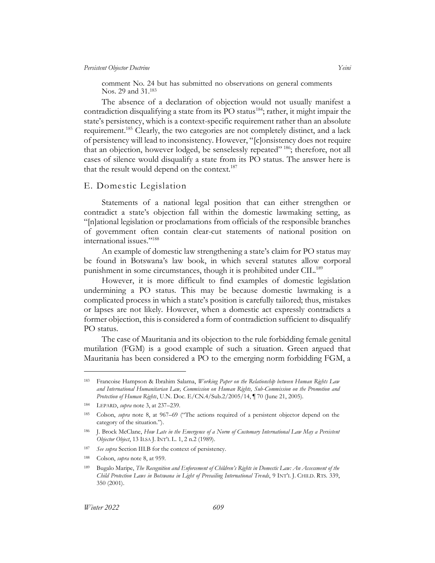<span id="page-29-1"></span>comment No. 24 but has submitted no observations on general comments Nos. 29 and 31.<sup>183</sup>

The absence of a declaration of objection would not usually manifest a contradiction disqualifying a state from its PO status<sup>184</sup>; rather, it might impair the state's persistency, which is a context-specific requirement rather than an absolute requirement.<sup>185</sup> Clearly, the two categories are not completely distinct, and a lack of persistency will lead to inconsistency. However, "[c]onsistency does not require that an objection, however lodged, be senselessly repeated" <sup>186</sup>; therefore, not all cases of silence would disqualify a state from its PO status. The answer here is that the result would depend on the context.<sup>187</sup>

## <span id="page-29-0"></span>E. Domestic Legislation

Statements of a national legal position that can either strengthen or contradict a state's objection fall within the domestic lawmaking setting, as "[n]ational legislation or proclamations from officials of the responsible branches of government often contain clear-cut statements of national position on international issues."<sup>188</sup>

An example of domestic law strengthening a state's claim for PO status may be found in Botswana's law book, in which several statutes allow corporal punishment in some circumstances, though it is prohibited under CIL. 189

However, it is more difficult to find examples of domestic legislation undermining a PO status. This may be because domestic lawmaking is a complicated process in which a state's position is carefully tailored; thus, mistakes or lapses are not likely. However, when a domestic act expressly contradicts a former objection, this is considered a form of contradiction sufficient to disqualify PO status.

The case of Mauritania and its objection to the rule forbidding female genital mutilation (FGM) is a good example of such a situation. Green argued that Mauritania has been considered a PO to the emerging norm forbidding FGM, a

<sup>183</sup> Francoise Hampson & Ibrahim Salama, *Working Paper on the Relationship between Human Rights Law and International Humanitarian Law, Commission on Human Rights, Sub-Commission on the Promotion and Protection of Human Rights*, U.N. Doc. E/CN.4/Sub.2/2005/14, ¶ 70 (June 21, 2005).

<sup>184</sup> LEPARD, *supra* not[e 3,](#page-3-5) at 237–239.

<sup>185</sup> Colson, *supra* note [8,](#page-4-2) at 967–69 ("The actions required of a persistent objector depend on the category of the situation.").

<sup>186</sup> J. Brock McClane, *How Late in the Emergence of a Norm of Customary International Law May a Persistent Objector Object*, 13 ILSA J. INT'L L. 1, 2 n.2 (1989).

<sup>187</sup> *See supra* Section [III.B](#page-16-0) for the context of persistency.

<sup>188</sup> Colson, *supra* not[e 8,](#page-4-2) at 959.

<sup>189</sup> Bugalo Maripe, *The Recognition and Enforcement of Children's Rights in Domestic Law: An Assessment of the Child Protection Laws in Botswana in Light of Prevailing International Trends*, 9 INT'L J. CHILD. RTS. 339, 350 (2001).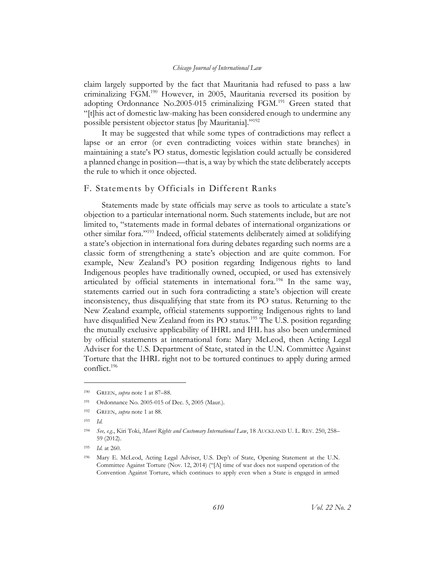claim largely supported by the fact that Mauritania had refused to pass a law criminalizing FGM.<sup>190</sup> However, in 2005, Mauritania reversed its position by adopting Ordonnance No.2005-015 criminalizing FGM.<sup>191</sup> Green stated that "[t]his act of domestic law-making has been considered enough to undermine any possible persistent objector status [by Mauritania]."<sup>192</sup>

It may be suggested that while some types of contradictions may reflect a lapse or an error (or even contradicting voices within state branches) in maintaining a state's PO status, domestic legislation could actually be considered a planned change in position—that is, a way by which the state deliberately accepts the rule to which it once objected.

## <span id="page-30-0"></span>F. Statements by Officials in Different Ranks

<span id="page-30-1"></span>Statements made by state officials may serve as tools to articulate a state's objection to a particular international norm. Such statements include, but are not limited to, "statements made in formal debates of international organizations or other similar fora."<sup>193</sup> Indeed, official statements deliberately aimed at solidifying a state's objection in international fora during debates regarding such norms are a classic form of strengthening a state's objection and are quite common. For example, New Zealand's PO position regarding Indigenous rights to land Indigenous peoples have traditionally owned, occupied, or used has extensively articulated by official statements in international fora.<sup>194</sup> In the same way, statements carried out in such fora contradicting a state's objection will create inconsistency, thus disqualifying that state from its PO status. Returning to the New Zealand example, official statements supporting Indigenous rights to land have disqualified New Zealand from its PO status.<sup>195</sup> The U.S. position regarding the mutually exclusive applicability of IHRL and IHL has also been undermined by official statements at international fora: Mary McLeod, then Acting Legal Adviser for the U.S. Department of State, stated in the U.N. Committee Against Torture that the IHRL right not to be tortured continues to apply during armed conflict. 196

<sup>190</sup> GREEN, *supra* note [1](#page-3-2) at 87–88.

<sup>191</sup> Ordonnance No. 2005-015 of Dec. 5, 2005 (Maur.).

<sup>192</sup> GREEN, *supra* note [1](#page-3-2) at 88.

<sup>193</sup> *Id.*

<sup>194</sup> *See, e.g.*, Kiri Toki, *Maori Rights and Customary International Law*, 18 AUCKLAND U. L. REV. 250, 258– 59 (2012).

<sup>195</sup> *Id.* at 260.

<sup>196</sup> Mary E. McLeod, Acting Legal Adviser, U.S. Dep't of State, Opening Statement at the U.N. Committee Against Torture (Nov. 12, 2014) ("[A] time of war does not suspend operation of the Convention Against Torture, which continues to apply even when a State is engaged in armed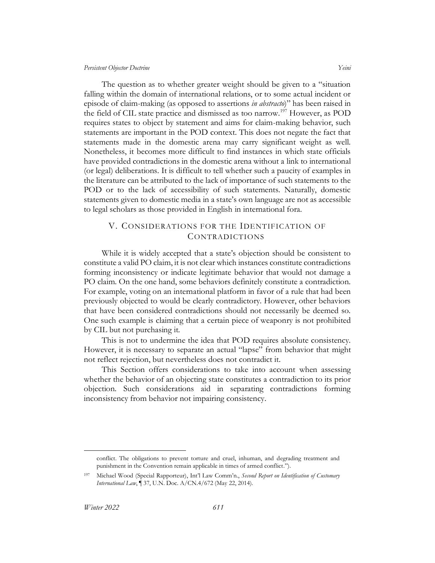The question as to whether greater weight should be given to a "situation falling within the domain of international relations, or to some actual incident or episode of claim-making (as opposed to assertions *in abstracto*)" has been raised in the field of CIL state practice and dismissed as too narrow.<sup>197</sup> However, as POD requires states to object by statement and aims for claim-making behavior, such statements are important in the POD context. This does not negate the fact that statements made in the domestic arena may carry significant weight as well. Nonetheless, it becomes more difficult to find instances in which state officials have provided contradictions in the domestic arena without a link to international (or legal) deliberations. It is difficult to tell whether such a paucity of examples in the literature can be attributed to the lack of importance of such statements to the POD or to the lack of accessibility of such statements. Naturally, domestic statements given to domestic media in a state's own language are not as accessible to legal scholars as those provided in English in international fora.

## <span id="page-31-0"></span>V. CONSIDERATIONS FOR THE IDENTIFICATION OF CONTRADICTIONS

While it is widely accepted that a state's objection should be consistent to constitute a valid PO claim, it is not clear which instances constitute contradictions forming inconsistency or indicate legitimate behavior that would not damage a PO claim. On the one hand, some behaviors definitely constitute a contradiction. For example, voting on an international platform in favor of a rule that had been previously objected to would be clearly contradictory. However, other behaviors that have been considered contradictions should not necessarily be deemed so. One such example is claiming that a certain piece of weaponry is not prohibited by CIL but not purchasing it.

This is not to undermine the idea that POD requires absolute consistency. However, it is necessary to separate an actual "lapse" from behavior that might not reflect rejection, but nevertheless does not contradict it.

This Section offers considerations to take into account when assessing whether the behavior of an objecting state constitutes a contradiction to its prior objection. Such considerations aid in separating contradictions forming inconsistency from behavior not impairing consistency.

conflict. The obligations to prevent torture and cruel, inhuman, and degrading treatment and punishment in the Convention remain applicable in times of armed conflict.").

<sup>197</sup> Michael Wood (Special Rapporteur), Int'l Law Comm'n., *Second Report on Identification of Customary International Law*, ¶ 37, U.N. Doc. A/CN.4/672 (May 22, 2014).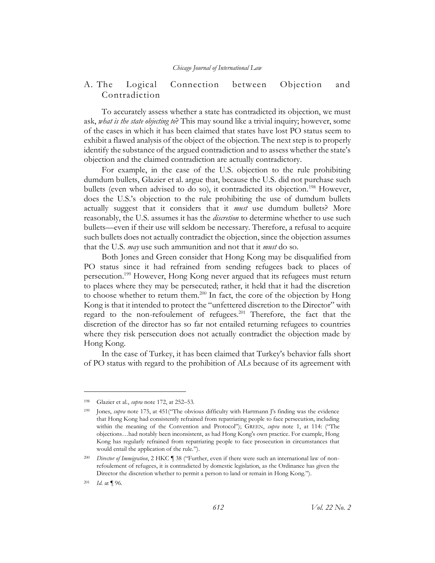## <span id="page-32-0"></span>A. The Logical Connection between Objection and Contradiction

To accurately assess whether a state has contradicted its objection, we must ask, *what is the state objecting to*? This may sound like a trivial inquiry; however, some of the cases in which it has been claimed that states have lost PO status seem to exhibit a flawed analysis of the object of the objection. The next step is to properly identify the substance of the argued contradiction and to assess whether the state's objection and the claimed contradiction are actually contradictory.

For example, in the case of the U.S. objection to the rule prohibiting dumdum bullets, Glazier et al. argue that, because the U.S. did not purchase such bullets (even when advised to do so), it contradicted its objection.<sup>198</sup> However, does the U.S.'s objection to the rule prohibiting the use of dumdum bullets actually suggest that it considers that it *must* use dumdum bullets? More reasonably, the U.S. assumes it has the *discretion* to determine whether to use such bullets—even if their use will seldom be necessary. Therefore, a refusal to acquire such bullets does not actually contradict the objection, since the objection assumes that the U.S. *may* use such ammunition and not that it *must* do so.

Both Jones and Green consider that Hong Kong may be disqualified from PO status since it had refrained from sending refugees back to places of persecution.<sup>199</sup> However, Hong Kong never argued that its refugees must return to places where they may be persecuted; rather, it held that it had the discretion to choose whether to return them.<sup>200</sup> In fact, the core of the objection by Hong Kong is that it intended to protect the "unfettered discretion to the Director" with regard to the non-refoulement of refugees.<sup>201</sup> Therefore, the fact that the discretion of the director has so far not entailed returning refugees to countries where they risk persecution does not actually contradict the objection made by Hong Kong.

In the case of Turkey, it has been claimed that Turkey's behavior falls short of PO status with regard to the prohibition of ALs because of its agreement with

<sup>198</sup> Glazier et al., *supra* not[e 172,](#page-27-0) at 252–53.

Jones, *supra* note [175,](#page-27-1) at 451("The obvious difficulty with Hartmann J's finding was the evidence that Hong Kong had consistently refrained from repatriating people to face persecution, including within the meaning of the Convention and Protocol"); GREEN, *supra* note [1,](#page-3-2) at 114: ("The objections…had notably been inconsistent, as had Hong Kong's own practice. For example, Hong Kong has regularly refrained from repatriating people to face prosecution in circumstances that would entail the application of the rule.").

<sup>200</sup> *Director of Immigration*, 2 HKC ¶ 38 ("Further, even if there were such an international law of nonrefoulement of refugees, it is contradicted by domestic legislation, as the Ordinance has given the Director the discretion whether to permit a person to land or remain in Hong Kong.").

<sup>201</sup> *Id.* at ¶ 96.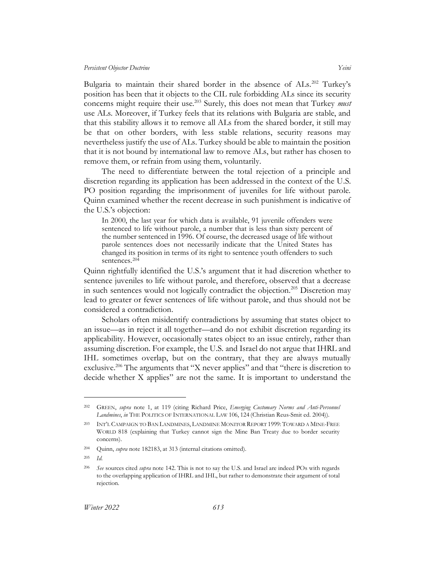Bulgaria to maintain their shared border in the absence of ALs.<sup>202</sup> Turkey's position has been that it objects to the CIL rule forbidding ALs since its security concerns might require their use.<sup>203</sup> Surely, this does not mean that Turkey *must* use ALs. Moreover, if Turkey feels that its relations with Bulgaria are stable, and that this stability allows it to remove all ALs from the shared border, it still may be that on other borders, with less stable relations, security reasons may nevertheless justify the use of ALs. Turkey should be able to maintain the position that it is not bound by international law to remove ALs, but rather has chosen to remove them, or refrain from using them, voluntarily.

The need to differentiate between the total rejection of a principle and discretion regarding its application has been addressed in the context of the U.S. PO position regarding the imprisonment of juveniles for life without parole. Quinn examined whether the recent decrease in such punishment is indicative of the U.S.'s objection:

In 2000, the last year for which data is available, 91 juvenile offenders were sentenced to life without parole, a number that is less than sixty percent of the number sentenced in 1996. Of course, the decreased usage of life without parole sentences does not necessarily indicate that the United States has changed its position in terms of its right to sentence youth offenders to such sentences. 204

Quinn rightfully identified the U.S.'s argument that it had discretion whether to sentence juveniles to life without parole, and therefore, observed that a decrease in such sentences would not logically contradict the objection.<sup>205</sup> Discretion may lead to greater or fewer sentences of life without parole, and thus should not be considered a contradiction.

Scholars often misidentify contradictions by assuming that states object to an issue—as in reject it all together—and do not exhibit discretion regarding its applicability. However, occasionally states object to an issue entirely, rather than assuming discretion. For example, the U.S. and Israel do not argue that IHRL and IHL sometimes overlap, but on the contrary, that they are always mutually exclusive.<sup>206</sup> The arguments that "X never applies" and that "there is discretion to decide whether X applies" are not the same. It is important to understand the

<sup>202</sup> GREEN, *supra* note [1,](#page-3-2) at 119 (citing Richard Price, *Emerging Customary Norms and Anti-Personnel*  Landmines, in THE POLITICS OF INTERNATIONAL LAW 106, 124 (Christian Reus-Smit ed. 2004)).

<sup>203</sup> INT'L CAMPAIGN TO BAN LANDMINES, LANDMINE MONITOR REPORT 1999: TOWARD A MINE-FREE WORLD 818 (explaining that Turkey cannot sign the Mine Ban Treaty due to border security concerns).

<sup>204</sup> Quinn, *supra* not[e 182](#page-28-1)[183,](#page-29-1) at 313 (internal citations omitted).

<sup>205</sup> *Id.*

<sup>206</sup> *See* sources cited *supra* note [142.](#page-21-0) This is not to say the U.S. and Israel are indeed POs with regards to the overlapping application of IHRL and IHL, but rather to demonstrate their argument of total rejection.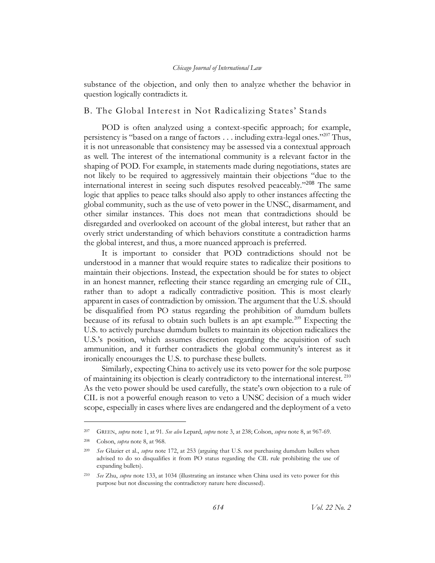substance of the objection, and only then to analyze whether the behavior in question logically contradicts it.

## <span id="page-34-0"></span>B. The Global Interest in Not Radicalizing States' Stands

POD is often analyzed using a context-specific approach; for example, persistency is "based on a range of factors  $\dots$  including extra-legal ones."<sup>207</sup> Thus, it is not unreasonable that consistency may be assessed via a contextual approach as well. The interest of the international community is a relevant factor in the shaping of POD. For example, in statements made during negotiations, states are not likely to be required to aggressively maintain their objections "due to the international interest in seeing such disputes resolved peaceably."<sup>208</sup> The same logic that applies to peace talks should also apply to other instances affecting the global community, such as the use of veto power in the UNSC, disarmament, and other similar instances. This does not mean that contradictions should be disregarded and overlooked on account of the global interest, but rather that an overly strict understanding of which behaviors constitute a contradiction harms the global interest, and thus, a more nuanced approach is preferred.

It is important to consider that POD contradictions should not be understood in a manner that would require states to radicalize their positions to maintain their objections. Instead, the expectation should be for states to object in an honest manner, reflecting their stance regarding an emerging rule of CIL, rather than to adopt a radically contradictive position. This is most clearly apparent in cases of contradiction by omission. The argument that the U.S. should be disqualified from PO status regarding the prohibition of dumdum bullets because of its refusal to obtain such bullets is an apt example.<sup>209</sup> Expecting the U.S. to actively purchase dumdum bullets to maintain its objection radicalizes the U.S.'s position, which assumes discretion regarding the acquisition of such ammunition, and it further contradicts the global community's interest as it ironically encourages the U.S. to purchase these bullets.

Similarly, expecting China to actively use its veto power for the sole purpose of maintaining its objection is clearly contradictory to the international interest.<sup>210</sup> As the veto power should be used carefully, the state's own objection to a rule of CIL is not a powerful enough reason to veto a UNSC decision of a much wider scope, especially in cases where lives are endangered and the deployment of a veto

<sup>207</sup> GREEN, *supra* note [1,](#page-3-2) at 91. *See also* Lepard, *supra* not[e 3,](#page-3-5) at 238; Colson, *supra* note [8,](#page-4-2) at 967-69.

<sup>208</sup> Colson, *supra* not[e 8,](#page-4-2) at 968.

<sup>209</sup> *See* Glazier et al., *supra* note [172,](#page-27-0) at 253 (arguing that U.S. not purchasing dumdum bullets when advised to do so disqualifies it from PO status regarding the CIL rule prohibiting the use of expanding bullets).

<sup>210</sup> *See* Zhu, *supra* not[e 133,](#page-20-2) at 1034 (illustrating an instance when China used its veto power for this purpose but not discussing the contradictory nature here discussed).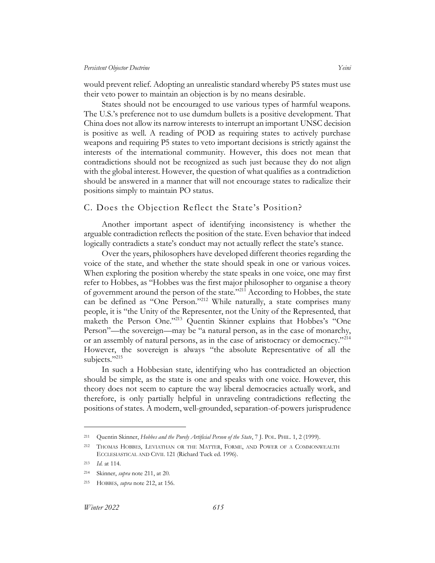would prevent relief. Adopting an unrealistic standard whereby P5 states must use their veto power to maintain an objection is by no means desirable.

States should not be encouraged to use various types of harmful weapons. The U.S.'s preference not to use dumdum bullets is a positive development. That China does not allow its narrow interests to interrupt an important UNSC decision is positive as well. A reading of POD as requiring states to actively purchase weapons and requiring P5 states to veto important decisions is strictly against the interests of the international community. However, this does not mean that contradictions should not be recognized as such just because they do not align with the global interest. However, the question of what qualifies as a contradiction should be answered in a manner that will not encourage states to radicalize their positions simply to maintain PO status.

## <span id="page-35-0"></span>C. Does the Objection Reflect the State's Position?

Another important aspect of identifying inconsistency is whether the arguable contradiction reflects the position of the state. Even behavior that indeed logically contradicts a state's conduct may not actually reflect the state's stance.

<span id="page-35-2"></span><span id="page-35-1"></span>Over the years, philosophers have developed different theories regarding the voice of the state, and whether the state should speak in one or various voices. When exploring the position whereby the state speaks in one voice, one may first refer to Hobbes, as "Hobbes was the first major philosopher to organise a theory of government around the person of the state."<sup>211</sup> According to Hobbes, the state can be defined as "One Person."<sup>212</sup> While naturally, a state comprises many people, it is "the Unity of the Representer, not the Unity of the Represented, that maketh the Person One."<sup>213</sup> Quentin Skinner explains that Hobbes's "One Person"—the sovereign—may be "a natural person, as in the case of monarchy, or an assembly of natural persons, as in the case of aristocracy or democracy."<sup>214</sup> However, the sovereign is always "the absolute Representative of all the subjects."215

In such a Hobbesian state, identifying who has contradicted an objection should be simple, as the state is one and speaks with one voice. However, this theory does not seem to capture the way liberal democracies actually work, and therefore, is only partially helpful in unraveling contradictions reflecting the positions of states. A modern, well-grounded, separation-of-powers jurisprudence

<sup>211</sup> Quentin Skinner, *Hobbes and the Purely Artificial Person of the State*, 7 J. POL. PHIL. 1, 2 (1999).

<sup>212</sup> THOMAS HOBBES, LEVIATHAN OR THE MATTER, FORME, AND POWER OF A COMMONWEALTH ECCLESIASTICAL AND CIVIL 121 (Richard Tuck ed. 1996).

<sup>213</sup> *Id.* at 114.

<sup>214</sup> Skinner, *supra* note [211,](#page-35-1) at 20.

<sup>215</sup> HOBBES, *supra* note [212,](#page-35-2) at 156.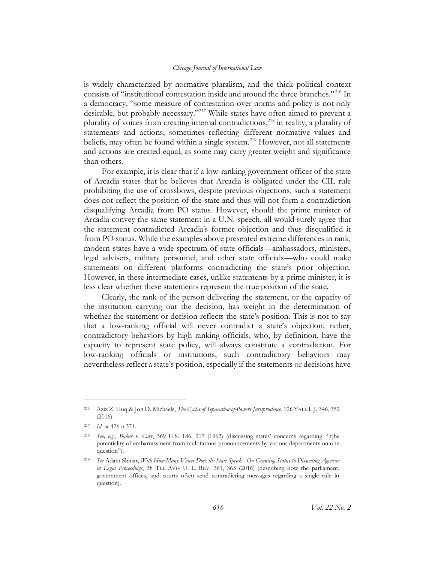is widely characterized by normative pluralism, and the thick political context consists of "institutional contestation inside and around the three branches."<sup>216</sup> In a democracy, "some measure of contestation over norms and policy is not only desirable, but probably necessary."<sup>217</sup> While states have often aimed to prevent a plurality of voices from creating internal contradictions,<sup>218</sup> in reality, a plurality of statements and actions, sometimes reflecting different normative values and beliefs, may often be found within a single system.<sup>219</sup> However, not all statements and actions are created equal, as some may carry greater weight and significance than others.

For example, it is clear that if a low-ranking government officer of the state of Arcadia states that he believes that Arcadia is obligated under the CIL rule prohibiting the use of crossbows, despite previous objections, such a statement does not reflect the position of the state and thus will not form a contradiction disqualifying Arcadia from PO status. However, should the prime minister of Arcadia convey the same statement in a U.N. speech, all would surely agree that the statement contradicted Arcadia's former objection and thus disqualified it from PO status. While the examples above presented extreme differences in rank, modern states have a wide spectrum of state officials—ambassadors, ministers, legal advisers, military personnel, and other state officials––who could make statements on different platforms contradicting the state's prior objection. However, in these intermediate cases, unlike statements by a prime minister, it is less clear whether these statements represent the true position of the state.

Clearly, the rank of the person delivering the statement, or the capacity of the institution carrying out the decision, has weight in the determination of whether the statement or decision reflects the state's position. This is not to say that a low-ranking official will never contradict a state's objection; rather, contradictory behaviors by high-ranking officials, who, by definition, have the capacity to represent state policy, will always constitute a contradiction. For low-ranking officials or institutions, such contradictory behaviors may nevertheless reflect a state's position, especially if the statements or decisions have

<sup>216</sup> Aziz Z. Huq & Jon D. Michaels, *The Cycles of Separation-of-Powers Jurisprudence*, 126 YALE L.J. 346, 352 (2016).

<sup>217</sup> *Id.* at 426 n.371.

<sup>218</sup> *See, e.g.*, *Baker v. Carr*, 369 U.S. 186, 217 (1962) (discussing states' concerns regarding "[t]he potentiality of embarrassment from multifarious pronouncements by various departments on one question").

<sup>219</sup> *See* Adam Shinar, *With How Many Voices Does the State Speak - On Granting Status to Dissenting Agencies in Legal Proceedings*, 38 TEL AVIV U. L. REV. 361, 363 (2016) (describing how the parliament, government offices, and courts often send contradicting messages regarding a single rule in question).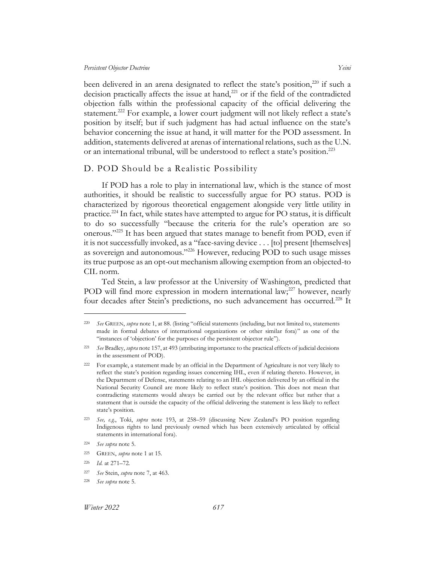been delivered in an arena designated to reflect the state's position, $220$  if such a decision practically affects the issue at hand,<sup>221</sup> or if the field of the contradicted objection falls within the professional capacity of the official delivering the statement.<sup>222</sup> For example, a lower court judgment will not likely reflect a state's position by itself; but if such judgment has had actual influence on the state's behavior concerning the issue at hand, it will matter for the POD assessment. In addition, statements delivered at arenas of international relations, such as the U.N. or an international tribunal, will be understood to reflect a state's position. 223

## <span id="page-37-0"></span>D. POD Should be a Realistic Possibility

If POD has a role to play in international law, which is the stance of most authorities, it should be realistic to successfully argue for PO status. POD is characterized by rigorous theoretical engagement alongside very little utility in practice.<sup>224</sup> In fact, while states have attempted to argue for PO status, it is difficult to do so successfully "because the criteria for the rule's operation are so onerous."<sup>225</sup> It has been argued that states manage to benefit from POD, even if it is not successfully invoked, as a "face-saving device . . . [to] present [themselves] as sovereign and autonomous."<sup>226</sup> However, reducing POD to such usage misses its true purpose as an opt-out mechanism allowing exemption from an objected-to CIL norm.

Ted Stein, a law professor at the University of Washington, predicted that POD will find more expression in modern international law;<sup>227</sup> however, nearly four decades after Stein's predictions, no such advancement has occurred.<sup>228</sup> It

<sup>220</sup> *See* GREEN, *supra* note [1,](#page-3-1) at 88. (listing "official statements (including, but not limited to, statements made in formal debates of international organizations or other similar fora)" as one of the "instances of 'objection' for the purposes of the persistent objector rule").

<sup>221</sup> *See* Bradley, *supra* note [157,](#page-24-2) at 493 (attributing importance to the practical effects of judicial decisions in the assessment of POD).

<sup>222</sup> For example, a statement made by an official in the Department of Agriculture is not very likely to reflect the state's position regarding issues concerning IHL, even if relating thereto. However, in the Department of Defense, statements relating to an IHL objection delivered by an official in the National Security Council are more likely to reflect state's position. This does not mean that contradicting statements would always be carried out by the relevant office but rather that a statement that is outside the capacity of the official delivering the statement is less likely to reflect state's position.

<sup>223</sup> *See, e.g.*, Toki, *supra* note [193,](#page-30-1) at 258–59 (discussing New Zealand's PO position regarding Indigenous rights to land previously owned which has been extensively articulated by official statements in international fora).

<sup>224</sup> *See supra* not[e 5.](#page-3-6)

<sup>225</sup> GREEN, *supra* note [1](#page-3-1) at 15.

<sup>226</sup> *Id.* at 271–72.

<sup>227</sup> *See* Stein, *supra* not[e 7,](#page-4-1) at 463.

<sup>228</sup> *See supra* not[e 5.](#page-3-6)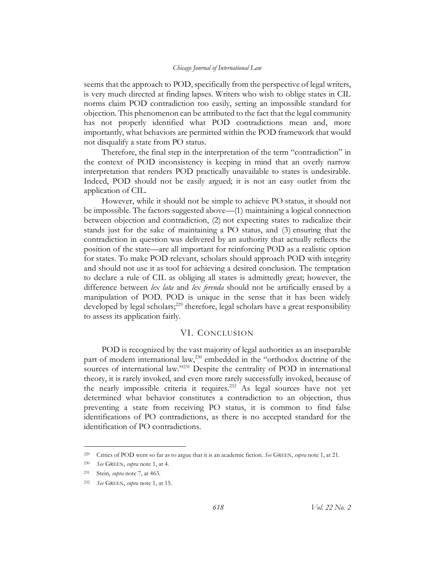seems that the approach to POD, specifically from the perspective of legal writers, is very much directed at finding lapses. Writers who wish to oblige states in CIL norms claim POD contradiction too easily, setting an impossible standard for objection. This phenomenon can be attributed to the fact that the legal community has not properly identified what POD contradictions mean and, more importantly, what behaviors are permitted within the POD framework that would not disqualify a state from PO status.

Therefore, the final step in the interpretation of the term "contradiction" in the context of POD inconsistency is keeping in mind that an overly narrow interpretation that renders POD practically unavailable to states is undesirable. Indeed, POD should not be easily argued; it is not an easy outlet from the application of CIL.

However, while it should not be simple to achieve PO status, it should not be impossible. The factors suggested above––(1) maintaining a logical connection between objection and contradiction, (2) not expecting states to radicalize their stands just for the sake of maintaining a PO status, and (3) ensuring that the contradiction in question was delivered by an authority that actually reflects the position of the state—are all important for reinforcing POD as a realistic option for states. To make POD relevant, scholars should approach POD with integrity and should not use it as tool for achieving a desired conclusion. The temptation to declare a rule of CIL as obliging all states is admittedly great; however, the difference between *lex lata* and *lex ferenda* should not be artificially erased by a manipulation of POD. POD is unique in the sense that it has been widely developed by legal scholars;<sup>229</sup> therefore, legal scholars have a great responsibility to assess its application fairly.

#### VI. CONCLUSION

<span id="page-38-0"></span>POD is recognized by the vast majority of legal authorities as an inseparable part of modern international law,<sup>230</sup> embedded in the "orthodox doctrine of the sources of international law."<sup>231</sup> Despite the centrality of POD in international theory, it is rarely invoked, and even more rarely successfully invoked, because of the nearly impossible criteria it requires.<sup>232</sup> As legal sources have not yet determined what behavior constitutes a contradiction to an objection, thus preventing a state from receiving PO status, it is common to find false identifications of PO contradictions, as there is no accepted standard for the identification of PO contradictions.

<sup>229</sup> Critics of POD went so far as to argue that it is an academic fiction. *See* GREEN, *supra* note [1,](#page-3-2) at 21.

<sup>230</sup> *See* GREEN, *supra* note [1,](#page-3-2) at 4.

<sup>231</sup> Stein, *supra* not[e 7,](#page-4-1) at 463.

<sup>232</sup> *See* GREEN, *supra* note [1,](#page-3-2) at 15.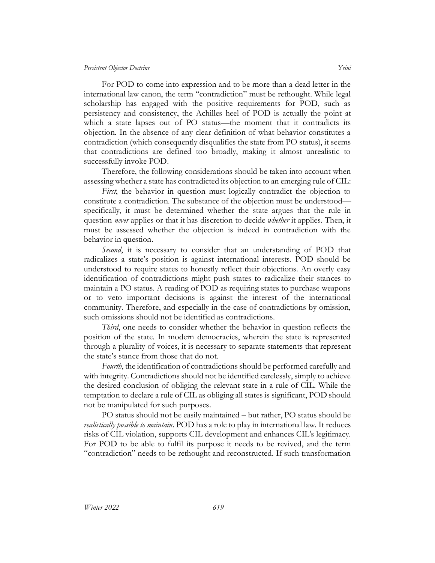For POD to come into expression and to be more than a dead letter in the international law canon, the term "contradiction" must be rethought. While legal scholarship has engaged with the positive requirements for POD, such as persistency and consistency, the Achilles heel of POD is actually the point at which a state lapses out of PO status—the moment that it contradicts its objection. In the absence of any clear definition of what behavior constitutes a contradiction (which consequently disqualifies the state from PO status), it seems that contradictions are defined too broadly, making it almost unrealistic to successfully invoke POD.

Therefore, the following considerations should be taken into account when assessing whether a state has contradicted its objection to an emerging rule of CIL:

*First*, the behavior in question must logically contradict the objection to constitute a contradiction. The substance of the objection must be understood–– specifically, it must be determined whether the state argues that the rule in question *never* applies or that it has discretion to decide *whether* it applies. Then, it must be assessed whether the objection is indeed in contradiction with the behavior in question.

*Second*, it is necessary to consider that an understanding of POD that radicalizes a state's position is against international interests. POD should be understood to require states to honestly reflect their objections. An overly easy identification of contradictions might push states to radicalize their stances to maintain a PO status. A reading of POD as requiring states to purchase weapons or to veto important decisions is against the interest of the international community. Therefore, and especially in the case of contradictions by omission, such omissions should not be identified as contradictions.

*Third*, one needs to consider whether the behavior in question reflects the position of the state. In modern democracies, wherein the state is represented through a plurality of voices, it is necessary to separate statements that represent the state's stance from those that do not.

*Fourth*, the identification of contradictions should be performed carefully and with integrity. Contradictions should not be identified carelessly, simply to achieve the desired conclusion of obliging the relevant state in a rule of CIL. While the temptation to declare a rule of CIL as obliging all states is significant, POD should not be manipulated for such purposes.

PO status should not be easily maintained – but rather, PO status should be *realistically possible to maintain*. POD has a role to play in international law. It reduces risks of CIL violation, supports CIL development and enhances CIL's legitimacy. For POD to be able to fulfil its purpose it needs to be revived, and the term "contradiction" needs to be rethought and reconstructed. If such transformation